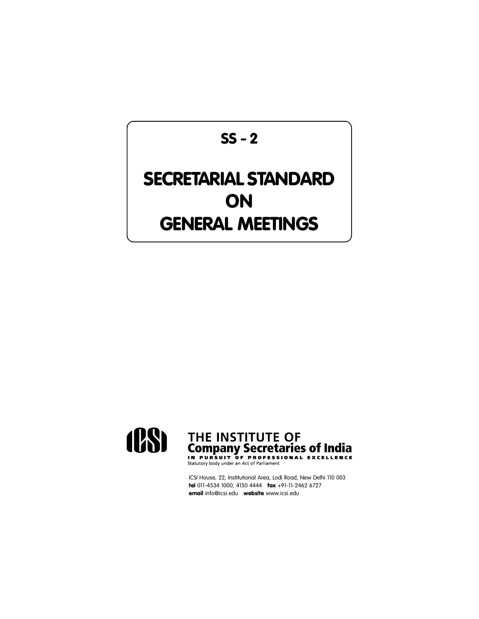# **SS - 2**

# **SECRETARIAL STANDARD ON GENERAL MEETINGS**



# THE INSTITUTE OF<br>Company Secretaries of India<br>IN PURSUIT OF PROFESSIONAL EXCELLENCE

ICSI House, 22, Institutional Area, Lodi Road, New Delhi 110 003 **tel** 011-4534 1000, 4150 4444 **fax** +91-11-2462 6727 **email** info@icsi.edu **website** www.icsi.edu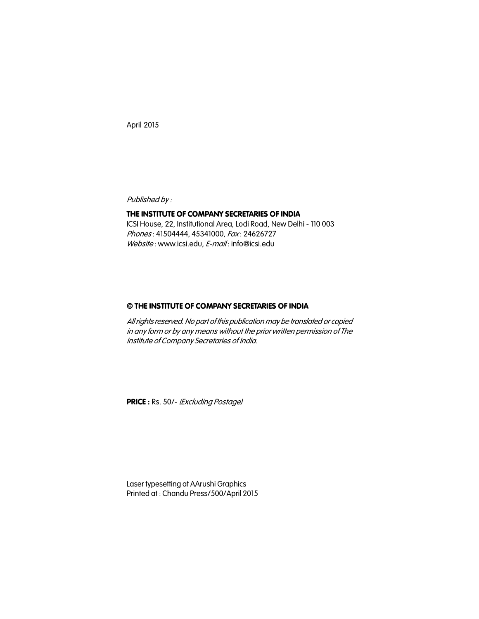April 2015

*Published by :*

#### **THE INSTITUTE OF COMPANY SECRETARIES OF INDIA**

ICSI House, 22, Institutional Area, Lodi Road, New Delhi - 110 003 *Phones* : 41504444, 45341000, *Fax* : 24626727 *Website* : www.icsi.edu, *E-mail* : info@icsi.edu

#### **© THE INSTITUTE OF COMPANY SECRETARIES OF INDIA**

*All rights reserved. No part of this publication may be translated or copied in any form or by any means without the prior written permission of The Institute of Company Secretaries of India.*

**PRICE :** Rs. 50/- *(Excluding Postage)*

Laser typesetting at AArushi Graphics Printed at : Chandu Press/500/April 2015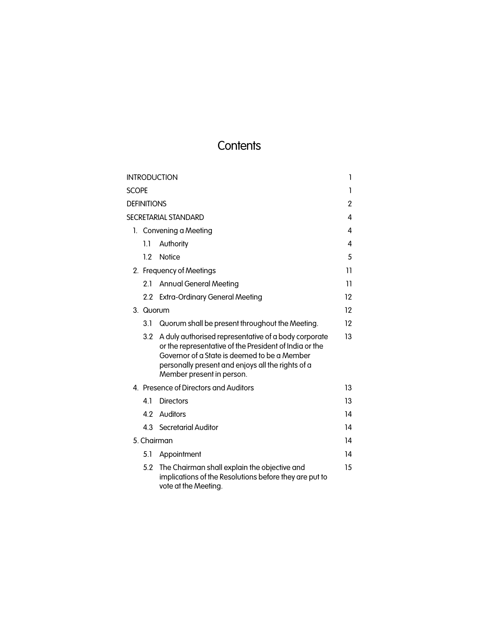## **Contents**

|                      | <b>INTRODUCTION</b> |                                                                                                                                                                                                                                                  | 1       |  |
|----------------------|---------------------|--------------------------------------------------------------------------------------------------------------------------------------------------------------------------------------------------------------------------------------------------|---------|--|
| <b>SCOPE</b>         |                     |                                                                                                                                                                                                                                                  | 1       |  |
| Definitions          |                     |                                                                                                                                                                                                                                                  | 2       |  |
| SECRETARIAL STANDARD |                     |                                                                                                                                                                                                                                                  | 4       |  |
|                      |                     | 1. Convening a Meeting                                                                                                                                                                                                                           | 4       |  |
|                      | 1.1                 | Authority                                                                                                                                                                                                                                        | 4       |  |
|                      | 1.2                 | <b>Notice</b>                                                                                                                                                                                                                                    | 5       |  |
|                      |                     | 2. Frequency of Meetings                                                                                                                                                                                                                         | 11      |  |
|                      | 2.1                 | <b>Annual General Meeting</b>                                                                                                                                                                                                                    | 11      |  |
|                      |                     | 2.2 Extra-Ordinary General Meeting                                                                                                                                                                                                               | $12 \,$ |  |
|                      |                     | 3. Quorum                                                                                                                                                                                                                                        |         |  |
|                      | 3.1                 | Quorum shall be present throughout the Meeting.                                                                                                                                                                                                  | 12      |  |
|                      | 3.2                 | A duly authorised representative of a body corporate<br>or the representative of the President of India or the<br>Governor of a State is deemed to be a Member<br>personally present and enjoys all the rights of a<br>Member present in person. | 13      |  |
|                      |                     | 4. Presence of Directors and Auditors                                                                                                                                                                                                            | 13      |  |
|                      | 4.1                 | <b>Directors</b>                                                                                                                                                                                                                                 | 13      |  |
|                      | 4.2                 | Auditors                                                                                                                                                                                                                                         | 14      |  |
|                      |                     | 4.3 Secretarial Auditor                                                                                                                                                                                                                          | 14      |  |
|                      | 5. Chairman         |                                                                                                                                                                                                                                                  | 14      |  |
|                      | 5.1                 | Appointment                                                                                                                                                                                                                                      | 14      |  |
|                      | 5.2                 | The Chairman shall explain the objective and<br>implications of the Resolutions before they are put to<br>vote at the Meeting.                                                                                                                   | 15      |  |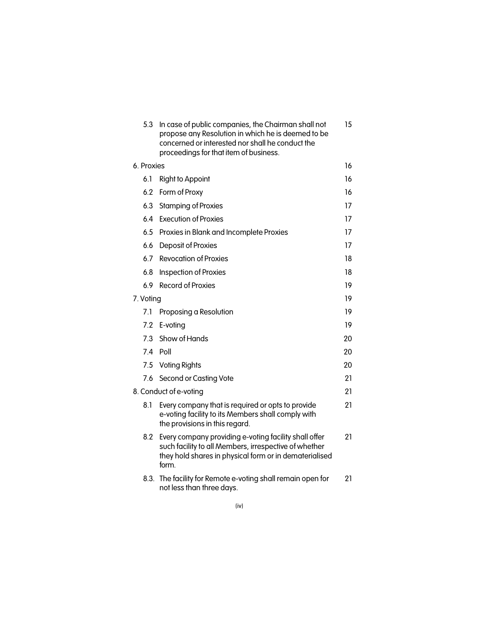| 5.3        | In case of public companies, the Chairman shall not<br>propose any Resolution in which he is deemed to be<br>concerned or interested nor shall he conduct the<br>proceedings for that item of business. | 15 |  |
|------------|---------------------------------------------------------------------------------------------------------------------------------------------------------------------------------------------------------|----|--|
| 6. Proxies |                                                                                                                                                                                                         | 16 |  |
| 6.1        | <b>Right to Appoint</b>                                                                                                                                                                                 | 16 |  |
| 6.2        | Form of Proxy                                                                                                                                                                                           | 16 |  |
| 6.3        | <b>Stamping of Proxies</b>                                                                                                                                                                              | 17 |  |
| 6.4        | <b>Execution of Proxies</b>                                                                                                                                                                             | 17 |  |
| 6.5        | Proxies in Blank and Incomplete Proxies                                                                                                                                                                 | 17 |  |
| 6.6        | Deposit of Proxies                                                                                                                                                                                      | 17 |  |
|            | 6.7 Revocation of Proxies                                                                                                                                                                               | 18 |  |
| 6.8        | Inspection of Proxies                                                                                                                                                                                   | 18 |  |
| 6.9        | <b>Record of Proxies</b>                                                                                                                                                                                | 19 |  |
| 7. Voting  |                                                                                                                                                                                                         | 19 |  |
| 7.1        | Proposing a Resolution                                                                                                                                                                                  | 19 |  |
| 7.2        | E-voting                                                                                                                                                                                                | 19 |  |
| 7.3        | Show of Hands                                                                                                                                                                                           | 20 |  |
| 7.4        | Poll                                                                                                                                                                                                    | 20 |  |
|            | 7.5 Voting Rights                                                                                                                                                                                       | 20 |  |
| 7.6        | Second or Casting Vote                                                                                                                                                                                  | 21 |  |
|            | 8. Conduct of e-voting                                                                                                                                                                                  | 21 |  |
| 8.1        | Every company that is required or opts to provide<br>e-voting facility to its Members shall comply with<br>the provisions in this regard.                                                               | 21 |  |
| 8.2        | Every company providing e-voting facility shall offer<br>such facility to all Members, irrespective of whether<br>they hold shares in physical form or in dematerialised<br>form.                       | 21 |  |
|            | 8.3. The facility for Remote e-voting shall remain open for<br>not less than three days.                                                                                                                | 21 |  |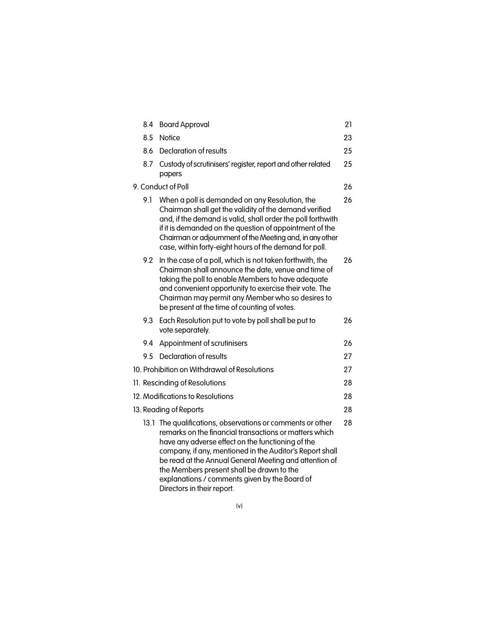|                    | 8.4 | <b>Board Approval</b>                                                                                                                                                                                                                                                                                                                                                                                                       | 21 |
|--------------------|-----|-----------------------------------------------------------------------------------------------------------------------------------------------------------------------------------------------------------------------------------------------------------------------------------------------------------------------------------------------------------------------------------------------------------------------------|----|
|                    | 8.5 | Notice                                                                                                                                                                                                                                                                                                                                                                                                                      | 23 |
|                    | 8.6 | Declaration of results                                                                                                                                                                                                                                                                                                                                                                                                      | 25 |
|                    | 8.7 | Custody of scrutinisers' register, report and other related<br>papers                                                                                                                                                                                                                                                                                                                                                       | 25 |
| 9. Conduct of Poll |     | 26                                                                                                                                                                                                                                                                                                                                                                                                                          |    |
|                    | 9.1 | When a poll is demanded on any Resolution, the<br>Chairman shall get the validity of the demand verified<br>and, if the demand is valid, shall order the poll forthwith<br>if it is demanded on the question of appointment of the<br>Chairman or adjournment of the Meeting and, in any other<br>case, within forty-eight hours of the demand for poll.                                                                    | 26 |
|                    | 9.2 | In the case of a poll, which is not taken forthwith, the<br>Chairman shall announce the date, venue and time of<br>taking the poll to enable Members to have adequate<br>and convenient opportunity to exercise their vote. The<br>Chairman may permit any Member who so desires to<br>be present at the time of counting of votes.                                                                                         | 26 |
|                    | 9.3 | Each Resolution put to vote by poll shall be put to<br>vote separately.                                                                                                                                                                                                                                                                                                                                                     | 26 |
|                    | 9.4 | Appointment of scrutinisers                                                                                                                                                                                                                                                                                                                                                                                                 | 26 |
|                    | 9.5 | Declaration of results                                                                                                                                                                                                                                                                                                                                                                                                      | 27 |
|                    |     | 10. Prohibition on Withdrawal of Resolutions                                                                                                                                                                                                                                                                                                                                                                                | 27 |
|                    |     | 11. Rescinding of Resolutions                                                                                                                                                                                                                                                                                                                                                                                               | 28 |
|                    |     | 12. Modifications to Resolutions                                                                                                                                                                                                                                                                                                                                                                                            | 28 |
|                    |     | 13. Reading of Reports                                                                                                                                                                                                                                                                                                                                                                                                      | 28 |
|                    |     | 13.1 The qualifications, observations or comments or other<br>remarks on the financial transactions or matters which<br>have any adverse effect on the functioning of the<br>company, if any, mentioned in the Auditor's Report shall<br>be read at the Annual General Meeting and attention of<br>the Members present shall be drawn to the<br>explanations / comments given by the Board of<br>Directors in their report. | 28 |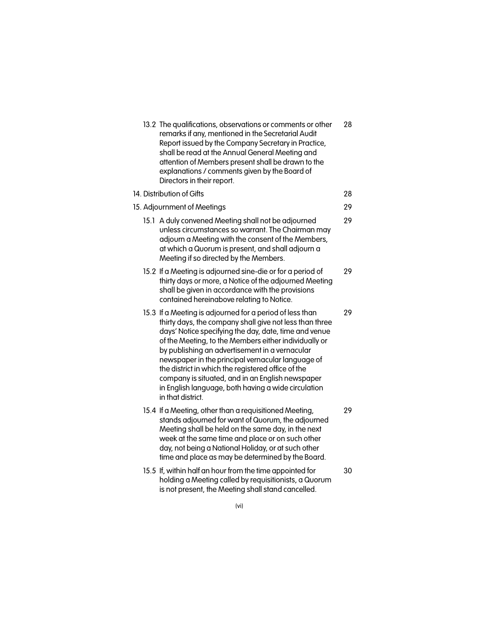| 13.2 The qualifications, observations or comments or other<br>remarks if any, mentioned in the Secretarial Audit<br>Report issued by the Company Secretary in Practice,<br>shall be read at the Annual General Meeting and<br>attention of Members present shall be drawn to the<br>explanations / comments given by the Board of<br>Directors in their report.                                                                                                                                                                    | 28 |
|------------------------------------------------------------------------------------------------------------------------------------------------------------------------------------------------------------------------------------------------------------------------------------------------------------------------------------------------------------------------------------------------------------------------------------------------------------------------------------------------------------------------------------|----|
| 14. Distribution of Gifts                                                                                                                                                                                                                                                                                                                                                                                                                                                                                                          | 28 |
| 15. Adjournment of Meetings                                                                                                                                                                                                                                                                                                                                                                                                                                                                                                        | 29 |
| 15.1 A duly convened Meeting shall not be adjourned<br>unless circumstances so warrant. The Chairman may<br>adjourn a Meeting with the consent of the Members,<br>at which a Quorum is present, and shall adjourn a<br>Meeting if so directed by the Members.                                                                                                                                                                                                                                                                      | 29 |
| 15.2 If a Meeting is adjourned sine-die or for a period of<br>thirty days or more, a Notice of the adjourned Meeting<br>shall be given in accordance with the provisions<br>contained hereinabove relating to Notice.                                                                                                                                                                                                                                                                                                              | 29 |
| 15.3 If a Meeting is adjourned for a period of less than<br>thirty days, the company shall give not less than three<br>days' Notice specifying the day, date, time and venue<br>of the Meeting, to the Members either individually or<br>by publishing an advertisement in a vernacular<br>newspaper in the principal vernacular language of<br>the district in which the registered office of the<br>company is situated, and in an English newspaper<br>in English language, both having a wide circulation<br>in that district. | 29 |
| 15.4 If a Meeting, other than a requisitioned Meeting,<br>stands adjourned for want of Quorum, the adjourned<br>Meeting shall be held on the same day, in the next<br>week at the same time and place or on such other<br>day, not being a National Holiday, or at such other<br>time and place as may be determined by the Board.                                                                                                                                                                                                 | 29 |
| 15.5 If, within half an hour from the time appointed for<br>holding a Meeting called by requisitionists, a Quorum<br>is not present, the Meeting shall stand cancelled.                                                                                                                                                                                                                                                                                                                                                            | 30 |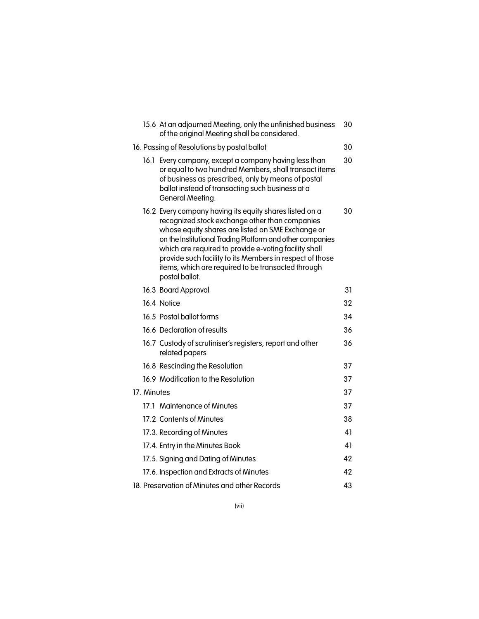|             | 15.6 At an adjourned Meeting, only the unfinished business<br>of the original Meeting shall be considered.                                                                                                                                                                                                                                                                                                               | 30 |
|-------------|--------------------------------------------------------------------------------------------------------------------------------------------------------------------------------------------------------------------------------------------------------------------------------------------------------------------------------------------------------------------------------------------------------------------------|----|
|             | 16. Passing of Resolutions by postal ballot                                                                                                                                                                                                                                                                                                                                                                              | 30 |
|             | 16.1 Every company, except a company having less than<br>or equal to two hundred Members, shall transact items<br>of business as prescribed, only by means of postal<br>ballot instead of transacting such business at a<br>General Meeting.                                                                                                                                                                             | 30 |
|             | 16.2 Every company having its equity shares listed on a<br>recognized stock exchange other than companies<br>whose equity shares are listed on SME Exchange or<br>on the Institutional Trading Platform and other companies<br>which are required to provide e-voting facility shall<br>provide such facility to its Members in respect of those<br>items, which are required to be transacted through<br>postal ballot. | 30 |
|             | 16.3 Board Approval                                                                                                                                                                                                                                                                                                                                                                                                      | 31 |
|             | 16.4 Notice                                                                                                                                                                                                                                                                                                                                                                                                              | 32 |
|             | 16.5 Postal ballot forms                                                                                                                                                                                                                                                                                                                                                                                                 | 34 |
|             | 16.6 Declaration of results                                                                                                                                                                                                                                                                                                                                                                                              | 36 |
|             | 16.7 Custody of scrutiniser's registers, report and other<br>related papers                                                                                                                                                                                                                                                                                                                                              | 36 |
|             | 16.8 Rescinding the Resolution                                                                                                                                                                                                                                                                                                                                                                                           | 37 |
|             | 16.9 Modification to the Resolution                                                                                                                                                                                                                                                                                                                                                                                      | 37 |
| 17. Minutes |                                                                                                                                                                                                                                                                                                                                                                                                                          | 37 |
|             | 17.1 Maintenance of Minutes                                                                                                                                                                                                                                                                                                                                                                                              | 37 |
|             | 17.2 Contents of Minutes                                                                                                                                                                                                                                                                                                                                                                                                 | 38 |
|             | 17.3. Recording of Minutes                                                                                                                                                                                                                                                                                                                                                                                               | 41 |
|             | 17.4. Entry in the Minutes Book                                                                                                                                                                                                                                                                                                                                                                                          | 41 |
|             | 17.5. Signing and Dating of Minutes                                                                                                                                                                                                                                                                                                                                                                                      | 42 |
|             | 17.6. Inspection and Extracts of Minutes                                                                                                                                                                                                                                                                                                                                                                                 | 42 |
|             | 18. Preservation of Minutes and other Records                                                                                                                                                                                                                                                                                                                                                                            | 43 |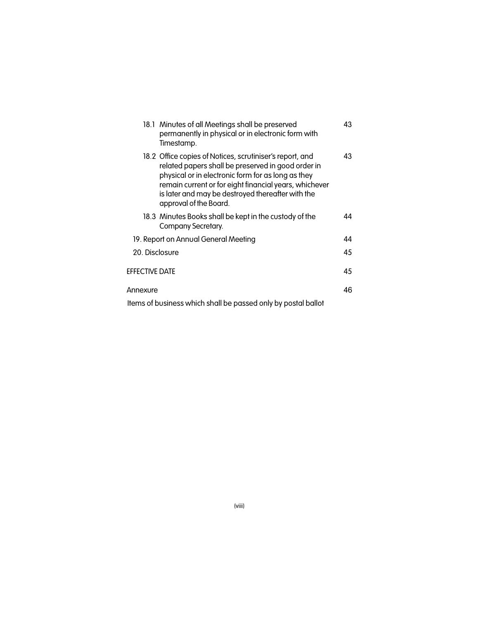| 18.1 Minutes of all Meetings shall be preserved<br>permanently in physical or in electronic form with<br>Timestamp.                                                                                                                                                                                           | 43 |
|---------------------------------------------------------------------------------------------------------------------------------------------------------------------------------------------------------------------------------------------------------------------------------------------------------------|----|
| 18.2 Office copies of Notices, scrutiniser's report, and<br>related papers shall be preserved in good order in<br>physical or in electronic form for as long as they<br>remain current or for eight financial years, whichever<br>is later and may be destroyed thereafter with the<br>approval of the Board. | 43 |
| 18.3 Minutes Books shall be kept in the custody of the<br>Company Secretary.                                                                                                                                                                                                                                  | 44 |
| 19. Report on Annual General Meeting                                                                                                                                                                                                                                                                          | 44 |
| 20. Disclosure                                                                                                                                                                                                                                                                                                | 45 |
| <b>EFFECTIVE DATE</b>                                                                                                                                                                                                                                                                                         | 45 |
| Annexure                                                                                                                                                                                                                                                                                                      | 46 |
| Items of business which shall be passed only by postal ballot                                                                                                                                                                                                                                                 |    |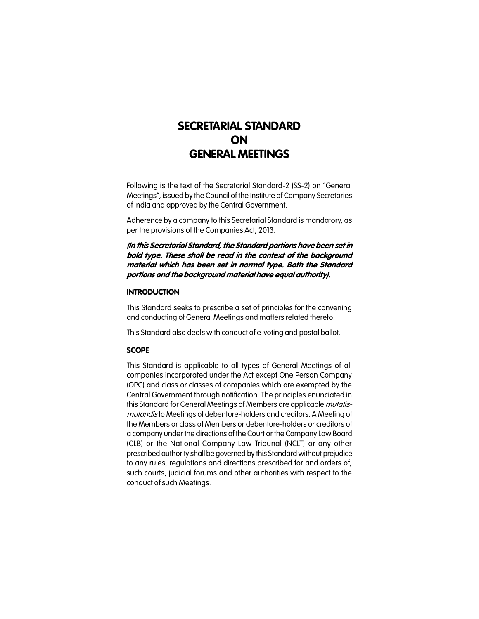### **SECRETARIAL STANDARD ON GENERAL MEETINGS**

Following is the text of the Secretarial Standard-2 (SS-2) on "General Meetings", issued by the Council of the Institute of Company Secretaries of India and approved by the Central Government.

Adherence by a company to this Secretarial Standard is mandatory, as per the provisions of the Companies Act, 2013.

*(In this Secretarial Standard, the Standard portions have been set in bold type. These shall be read in the context of the background material which has been set in normal type. Both the Standard portions and the background material have equal authority).*

#### **INTRODUCTION**

This Standard seeks to prescribe a set of principles for the convening and conducting of General Meetings and matters related thereto.

This Standard also deals with conduct of e-voting and postal ballot.

#### **SCOPE**

This Standard is applicable to all types of General Meetings of all companies incorporated under the Act except One Person Company (OPC) and class or classes of companies which are exempted by the Central Government through notification. The principles enunciated in this Standard for General Meetings of Members are applicable *mutatismutandis* to Meetings of debenture-holders and creditors. A Meeting of the Members or class of Members or debenture-holders or creditors of a company under the directions of the Court or the Company Law Board (CLB) or the National Company Law Tribunal (NCLT) or any other prescribed authority shall be governed by this Standard without prejudice to any rules, regulations and directions prescribed for and orders of, such courts, judicial forums and other authorities with respect to the conduct of such Meetings.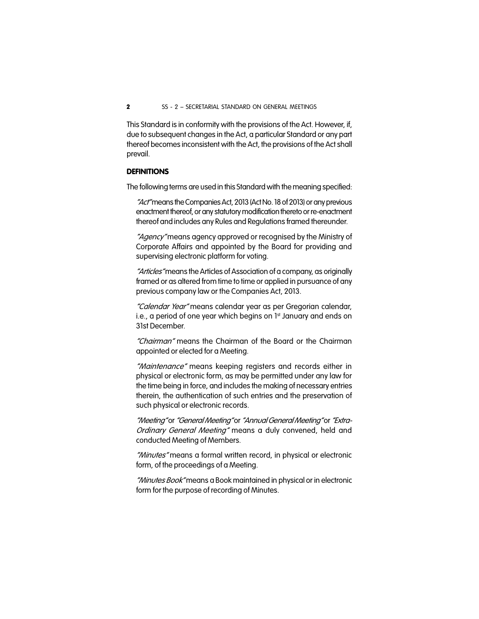This Standard is in conformity with the provisions of the Act. However, if, due to subsequent changes in the Act, a particular Standard or any part thereof becomes inconsistent with the Act, the provisions of the Act shall prevail.

#### **DEFINITIONS**

The following terms are used in this Standard with the meaning specified:

*"Act"* means the Companies Act, 2013 (Act No. 18 of 2013) or any previous enactment thereof, or any statutory modification thereto or re-enactment thereof and includes any Rules and Regulations framed thereunder.

*"Agency"* means agency approved or recognised by the Ministry of Corporate Affairs and appointed by the Board for providing and supervising electronic platform for voting.

*"Articles"* means the Articles of Association of a company, as originally framed or as altered from time to time or applied in pursuance of any previous company law or the Companies Act, 2013.

*"Calendar Year"* means calendar year as per Gregorian calendar, i.e., a period of one year which begins on 1st January and ends on 31st December.

*"Chairman"* means the Chairman of the Board or the Chairman appointed or elected for a Meeting.

*"Maintenance"* means keeping registers and records either in physical or electronic form, as may be permitted under any law for the time being in force, and includes the making of necessary entries therein, the authentication of such entries and the preservation of such physical or electronic records.

*"Meeting"* or*"General Meeting"* or*"Annual General Meeting"* or*"Extra-Ordinary General Meeting"* means a duly convened, held and conducted Meeting of Members.

*"Minutes"* means a formal written record, in physical or electronic form, of the proceedings of a Meeting.

*"Minutes Book"* means a Book maintained in physical or in electronic form for the purpose of recording of Minutes.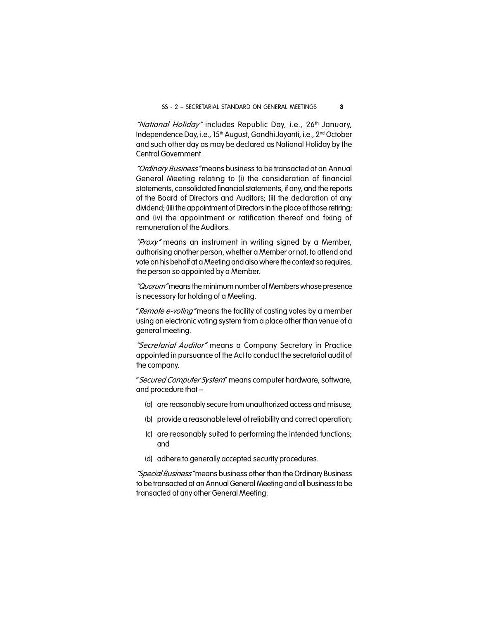"National Holiday" includes Republic Day, i.e., 26<sup>th</sup> January, Independence Day, i.e., 15<sup>th</sup> August, Gandhi Jayanti, i.e., 2<sup>nd</sup> October and such other day as may be declared as National Holiday by the Central Government.

*"Ordinary Business"* means business to be transacted at an Annual General Meeting relating to (i) the consideration of financial statements, consolidated financial statements, if any, and the reports of the Board of Directors and Auditors; (ii) the declaration of any dividend; (iii) the appointment of Directors in the place of those retiring; and (iv) the appointment or ratification thereof and fixing of remuneration of the Auditors.

*"Proxy"* means an instrument in writing signed by a Member, authorising another person, whether a Member or not, to attend and vote on his behalf at a Meeting and also where the context so requires, the person so appointed by a Member.

*"Quorum"* means the minimum number of Members whose presence is necessary for holding of a Meeting.

"*Remote e-voting"* means the facility of casting votes by a member using an electronic voting system from a place other than venue of a general meeting.

*"Secretarial Auditor"* means a Company Secretary in Practice appointed in pursuance of the Act to conduct the secretarial audit of the company.

''*Secured Computer System*" means computer hardware, software, and procedure that –

- (a) are reasonably secure from unauthorized access and misuse;
- (b) provide a reasonable level of reliability and correct operation;
- (c) are reasonably suited to performing the intended functions; and
- (d) adhere to generally accepted security procedures.

*"Special Business"* means business other than the Ordinary Business to be transacted at an Annual General Meeting and all business to be transacted at any other General Meeting.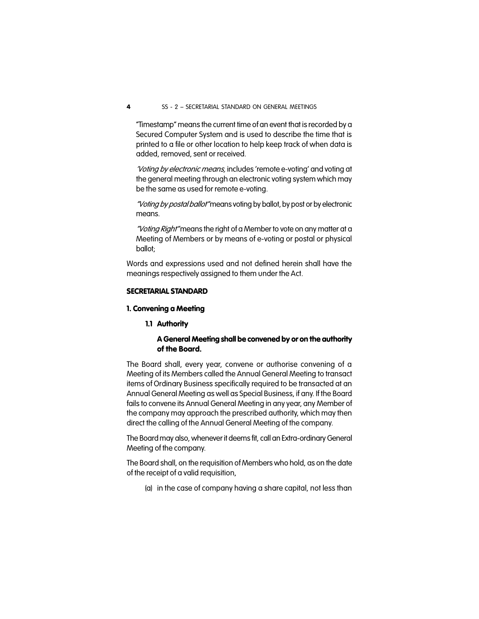"Timestamp" means the current time of an event that is recorded by a Secured Computer System and is used to describe the time that is printed to a file or other location to help keep track of when data is added, removed, sent or received.

*'Voting by electronic means,* includes 'remote e-voting' and voting at the general meeting through an electronic voting system which may be the same as used for remote e-voting.

*"Voting by postal ballot"* means voting by ballot, by post or by electronic means.

*"Voting Right"* means the right of a Member to vote on any matter at a Meeting of Members or by means of e-voting or postal or physical ballot;

Words and expressions used and not defined herein shall have the meanings respectively assigned to them under the Act.

#### **SECRETARIAL STANDARD**

#### **1. Convening a Meeting**

**1.1 Authority**

#### **A General Meeting shall be convened by or on the authority of the Board.**

The Board shall, every year, convene or authorise convening of a Meeting of its Members called the Annual General Meeting to transact items of Ordinary Business specifically required to be transacted at an Annual General Meeting as well as Special Business, if any. If the Board fails to convene its Annual General Meeting in any year, any Member of the company may approach the prescribed authority, which may then direct the calling of the Annual General Meeting of the company.

The Board may also, whenever it deems fit, call an Extra-ordinary General Meeting of the company.

The Board shall, on the requisition of Members who hold, as on the date of the receipt of a valid requisition,

(a) in the case of company having a share capital, not less than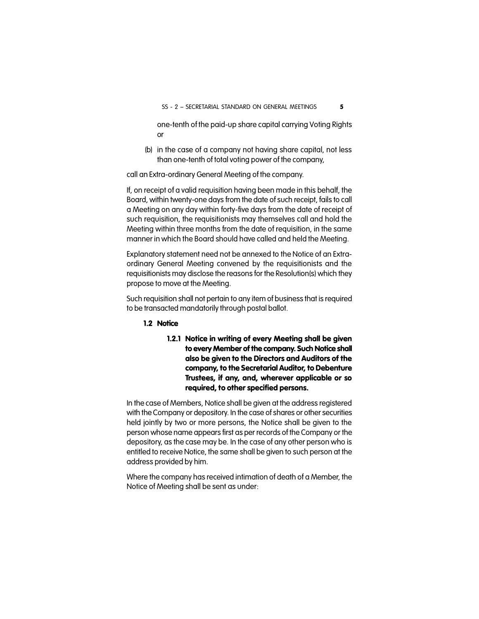one-tenth of the paid-up share capital carrying Voting Rights or

(b) in the case of a company not having share capital, not less than one-tenth of total voting power of the company,

call an Extra-ordinary General Meeting of the company.

If, on receipt of a valid requisition having been made in this behalf, the Board, within twenty-one days from the date of such receipt, fails to call a Meeting on any day within forty-five days from the date of receipt of such requisition, the requisitionists may themselves call and hold the Meeting within three months from the date of requisition, in the same manner in which the Board should have called and held the Meeting.

Explanatory statement need not be annexed to the Notice of an Extraordinary General Meeting convened by the requisitionists and the requisitionists may disclose the reasons for the Resolution(s) which they propose to move at the Meeting.

Such requisition shall not pertain to any item of business that is required to be transacted mandatorily through postal ballot.

#### **1.2 Notice**

**1.2.1 Notice in writing of every Meeting shall be given to every Member of the company. Such Notice shall also be given to the Directors and Auditors of the company, to the Secretarial Auditor, to Debenture Trustees, if any, and, wherever applicable or so required, to other specified persons.**

In the case of Members, Notice shall be given at the address registered with the Company or depository. In the case of shares or other securities held jointly by two or more persons, the Notice shall be given to the person whose name appears first as per records of the Company or the depository, as the case may be. In the case of any other person who is entitled to receive Notice, the same shall be given to such person at the address provided by him.

Where the company has received intimation of death of a Member, the Notice of Meeting shall be sent as under: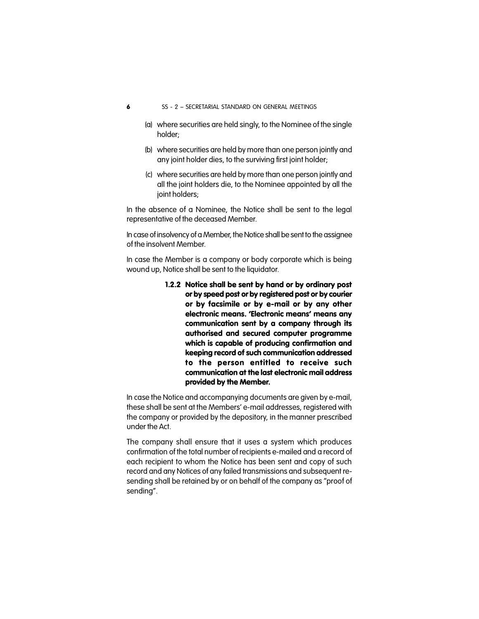- **6** SS 2 SECRETARIAL STANDARD ON GENERAL MEETINGS
	- (a) where securities are held singly, to the Nominee of the single holder;
	- (b) where securities are held by more than one person jointly and any joint holder dies, to the surviving first joint holder;
	- (c) where securities are held by more than one person jointly and all the joint holders die, to the Nominee appointed by all the joint holders;

In the absence of a Nominee, the Notice shall be sent to the legal representative of the deceased Member.

In case of insolvency of a Member, the Notice shall be sent to the assignee of the insolvent Member.

In case the Member is a company or body corporate which is being wound up, Notice shall be sent to the liquidator.

> **1.2.2 Notice shall be sent by hand or by ordinary post or by speed post or by registered post or by courier or by facsimile or by e-mail or by any other electronic means. 'Electronic means' means any communication sent by a company through its authorised and secured computer programme which is capable of producing confirmation and keeping record of such communication addressed to the person entitled to receive such communication at the last electronic mail address provided by the Member.**

In case the Notice and accompanying documents are given by e-mail, these shall be sent at the Members' e-mail addresses, registered with the company or provided by the depository, in the manner prescribed under the Act.

The company shall ensure that it uses a system which produces confirmation of the total number of recipients e-mailed and a record of each recipient to whom the Notice has been sent and copy of such record and any Notices of any failed transmissions and subsequent resending shall be retained by or on behalf of the company as ''proof of sending''.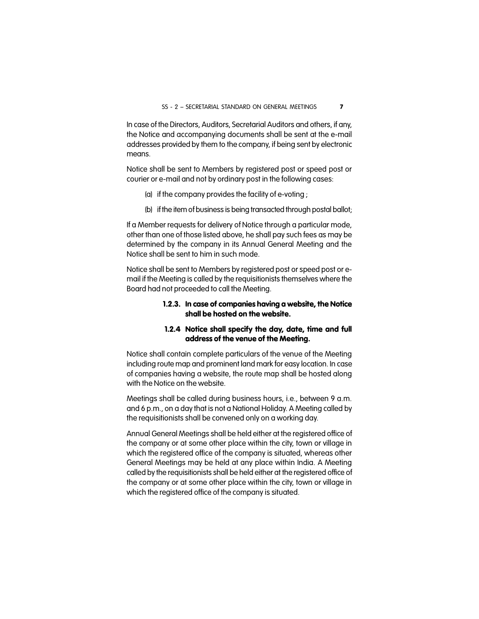In case of the Directors, Auditors, Secretarial Auditors and others, if any, the Notice and accompanying documents shall be sent at the e-mail addresses provided by them to the company, if being sent by electronic means.

Notice shall be sent to Members by registered post or speed post or courier or e-mail and not by ordinary post in the following cases:

- (a) if the company provides the facility of e-voting ;
- (b) if the item of business is being transacted through postal ballot;

If a Member requests for delivery of Notice through a particular mode, other than one of those listed above, he shall pay such fees as may be determined by the company in its Annual General Meeting and the Notice shall be sent to him in such mode.

Notice shall be sent to Members by registered post or speed post or email if the Meeting is called by the requisitionists themselves where the Board had not proceeded to call the Meeting.

#### **1.2.3. In case of companies having a website, the Notice shall be hosted on the website.**

#### **1.2.4 Notice shall specify the day, date, time and full address of the venue of the Meeting.**

Notice shall contain complete particulars of the venue of the Meeting including route map and prominent land mark for easy location. In case of companies having a website, the route map shall be hosted along with the Notice on the website.

Meetings shall be called during business hours, i.e., between 9 a.m. and 6 p.m., on a day that is not a National Holiday. A Meeting called by the requisitionists shall be convened only on a working day.

Annual General Meetings shall be held either at the registered office of the company or at some other place within the city, town or village in which the registered office of the company is situated, whereas other General Meetings may be held at any place within India. A Meeting called by the requisitionists shall be held either at the registered office of the company or at some other place within the city, town or village in which the registered office of the company is situated.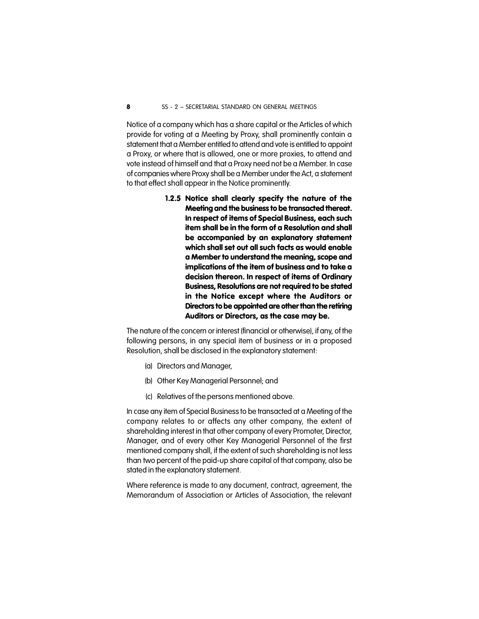Notice of a company which has a share capital or the Articles of which provide for voting at a Meeting by Proxy, shall prominently contain a statement that a Member entitled to attend and vote is entitled to appoint a Proxy, or where that is allowed, one or more proxies, to attend and vote instead of himself and that a Proxy need not be a Member. In case of companies where Proxy shall be a Member under the Act, a statement to that effect shall appear in the Notice prominently.

> **1.2.5 Notice shall clearly specify the nature of the Meeting and the business to be transacted thereat. In respect of items of Special Business, each such item shall be in the form of a Resolution and shall be accompanied by an explanatory statement which shall set out all such facts as would enable a Member to understand the meaning, scope and implications of the item of business and to take a decision thereon. In respect of items of Ordinary Business, Resolutions are not required to be stated in the Notice except where the Auditors or Directors to be appointed are other than the retiring Auditors or Directors, as the case may be.**

The nature of the concern or interest (financial or otherwise), if any, of the following persons, in any special item of business or in a proposed Resolution, shall be disclosed in the explanatory statement:

- (a) Directors and Manager,
- (b) Other Key Managerial Personnel; and
- (c) Relatives of the persons mentioned above.

In case any item of Special Business to be transacted at a Meeting of the company relates to or affects any other company, the extent of shareholding interest in that other company of every Promoter, Director, Manager, and of every other Key Managerial Personnel of the first mentioned company shall, if the extent of such shareholding is not less than two percent of the paid-up share capital of that company, also be stated in the explanatory statement.

Where reference is made to any document, contract, agreement, the Memorandum of Association or Articles of Association, the relevant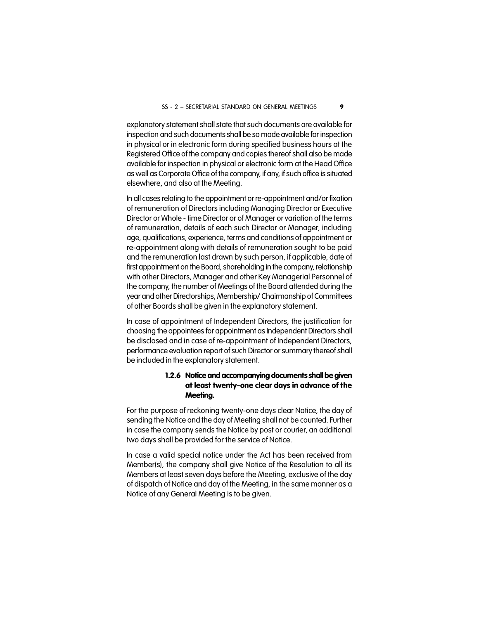explanatory statement shall state that such documents are available for inspection and such documents shall be so made available for inspection in physical or in electronic form during specified business hours at the Registered Office of the company and copies thereof shall also be made available for inspection in physical or electronic form at the Head Office as well as Corporate Office of the company, if any, if such office is situated elsewhere, and also at the Meeting.

In all cases relating to the appointment or re-appointment and/or fixation of remuneration of Directors including Managing Director or Executive Director or Whole - time Director or of Manager or variation of the terms of remuneration, details of each such Director or Manager, including age, qualifications, experience, terms and conditions of appointment or re-appointment along with details of remuneration sought to be paid and the remuneration last drawn by such person, if applicable, date of first appointment on the Board, shareholding in the company, relationship with other Directors, Manager and other Key Managerial Personnel of the company, the number of Meetings of the Board attended during the year and other Directorships, Membership/ Chairmanship of Committees of other Boards shall be given in the explanatory statement.

In case of appointment of Independent Directors, the justification for choosing the appointees for appointment as Independent Directors shall be disclosed and in case of re-appointment of Independent Directors, performance evaluation report of such Director or summary thereof shall be included in the explanatory statement.

#### **1.2.6 Notice and accompanying documents shall be given at least twenty-one clear days in advance of the Meeting.**

For the purpose of reckoning twenty-one days clear Notice, the day of sending the Notice and the day of Meeting shall not be counted. Further in case the company sends the Notice by post or courier, an additional two days shall be provided for the service of Notice.

In case a valid special notice under the Act has been received from Member(s), the company shall give Notice of the Resolution to all its Members at least seven days before the Meeting, exclusive of the day of dispatch of Notice and day of the Meeting, in the same manner as a Notice of any General Meeting is to be given.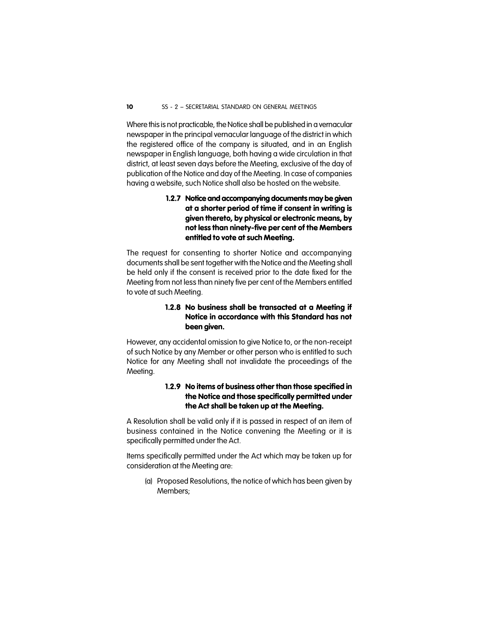Where this is not practicable, the Notice shall be published in a vernacular newspaper in the principal vernacular language of the district in which the registered office of the company is situated, and in an English newspaper in English language, both having a wide circulation in that district, at least seven days before the Meeting, exclusive of the day of publication of the Notice and day of the Meeting. In case of companies having a website, such Notice shall also be hosted on the website.

#### **1.2.7 Notice and accompanying documents may be given at a shorter period of time if consent in writing is given thereto, by physical or electronic means, by not less than ninety-five per cent of the Members entitled to vote at such Meeting.**

The request for consenting to shorter Notice and accompanying documents shall be sent together with the Notice and the Meeting shall be held only if the consent is received prior to the date fixed for the Meeting from not less than ninety five per cent of the Members entitled to vote at such Meeting.

#### **1.2.8 No business shall be transacted at a Meeting if Notice in accordance with this Standard has not been given.**

However, any accidental omission to give Notice to, or the non-receipt of such Notice by any Member or other person who is entitled to such Notice for any Meeting shall not invalidate the proceedings of the Meeting.

#### **1.2.9 No items of business other than those specified in the Notice and those specifically permitted under the Act shall be taken up at the Meeting.**

A Resolution shall be valid only if it is passed in respect of an item of business contained in the Notice convening the Meeting or it is specifically permitted under the Act.

Items specifically permitted under the Act which may be taken up for consideration at the Meeting are:

(a) Proposed Resolutions, the notice of which has been given by Members;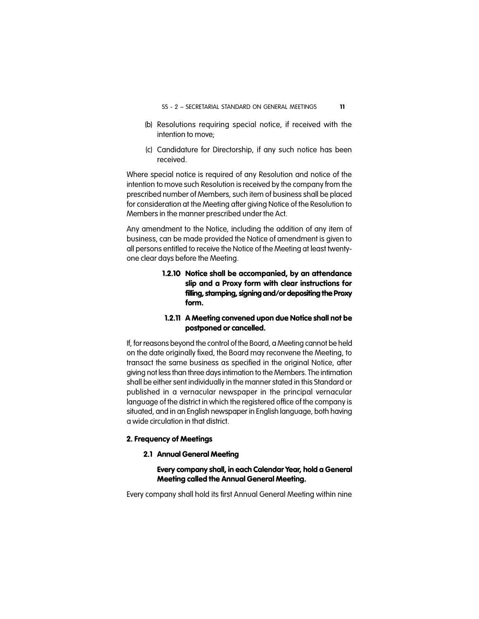- (b) Resolutions requiring special notice, if received with the intention to move;
- (c) Candidature for Directorship, if any such notice has been received.

Where special notice is required of any Resolution and notice of the intention to move such Resolution is received by the company from the prescribed number of Members, such item of business shall be placed for consideration at the Meeting after giving Notice of the Resolution to Members in the manner prescribed under the Act.

Any amendment to the Notice, including the addition of any item of business, can be made provided the Notice of amendment is given to all persons entitled to receive the Notice of the Meeting at least twentyone clear days before the Meeting.

> **1.2.10 Notice shall be accompanied, by an attendance slip and a Proxy form with clear instructions for filling, stamping, signing and/or depositing the Proxy form.**

#### **1.2.11 A Meeting convened upon due Notice shall not be postponed or cancelled.**

If, for reasons beyond the control of the Board, a Meeting cannot be held on the date originally fixed, the Board may reconvene the Meeting, to transact the same business as specified in the original Notice, after giving not less than three days intimation to the Members. The intimation shall be either sent individually in the manner stated in this Standard or published in a vernacular newspaper in the principal vernacular language of the district in which the registered office of the company is situated, and in an English newspaper in English language, both having a wide circulation in that district.

#### **2. Frequency of Meetings**

#### **2.1 Annual General Meeting**

#### **Every company shall, in each Calendar Year, hold a General Meeting called the Annual General Meeting.**

Every company shall hold its first Annual General Meeting within nine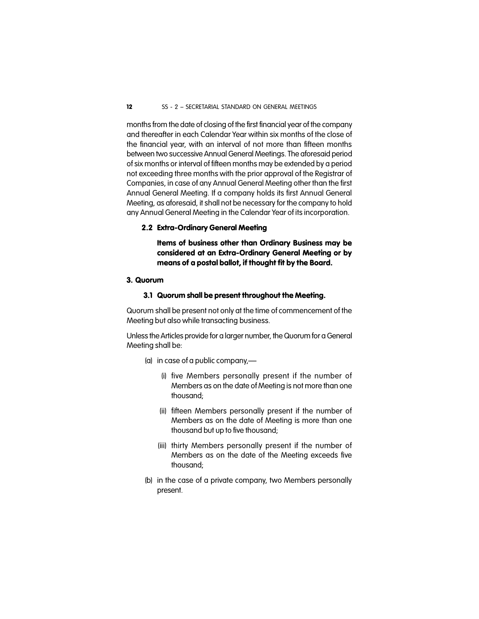months from the date of closing of the first financial year of the company and thereafter in each Calendar Year within six months of the close of the financial year, with an interval of not more than fifteen months between two successive Annual General Meetings. The aforesaid period of six months or interval of fifteen months may be extended by a period not exceeding three months with the prior approval of the Registrar of Companies, in case of any Annual General Meeting other than the first Annual General Meeting. If a company holds its first Annual General Meeting, as aforesaid, it shall not be necessary for the company to hold any Annual General Meeting in the Calendar Year of its incorporation.

#### **2.2 Extra-Ordinary General Meeting**

**Items of business other than Ordinary Business may be considered at an Extra-Ordinary General Meeting or by means of a postal ballot, if thought fit by the Board.**

#### **3. Quorum**

#### **3.1 Quorum shall be present throughout the Meeting.**

Quorum shall be present not only at the time of commencement of the Meeting but also while transacting business.

Unless the Articles provide for a larger number, the Quorum for a General Meeting shall be:

(a) in case of a public company,—

- (i) five Members personally present if the number of Members as on the date of Meeting is not more than one thousand;
- (ii) fifteen Members personally present if the number of Members as on the date of Meeting is more than one thousand but up to five thousand;
- (iii) thirty Members personally present if the number of Members as on the date of the Meeting exceeds five thousand;
- (b) in the case of a private company, two Members personally present.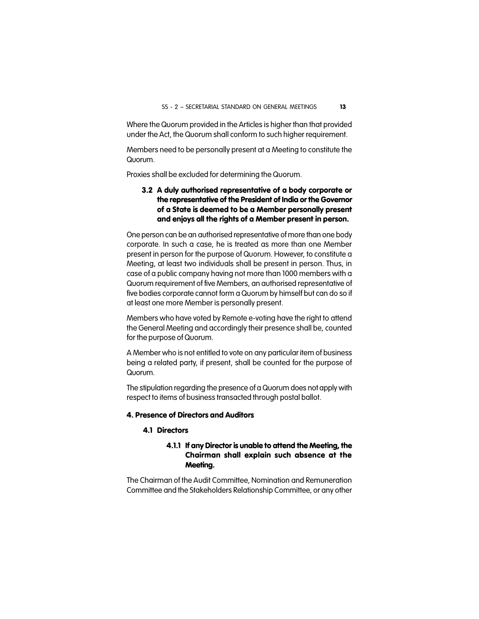Where the Quorum provided in the Articles is higher than that provided under the Act, the Quorum shall conform to such higher requirement.

Members need to be personally present at a Meeting to constitute the Quorum.

Proxies shall be excluded for determining the Quorum.

#### **3.2 A duly authorised representative of a body corporate or the representative of the President of India or the Governor of a State is deemed to be a Member personally present and enjoys all the rights of a Member present in person.**

One person can be an authorised representative of more than one body corporate. In such a case, he is treated as more than one Member present in person for the purpose of Quorum. However, to constitute a Meeting, at least two individuals shall be present in person. Thus, in case of a public company having not more than 1000 members with a Quorum requirement of five Members, an authorised representative of five bodies corporate cannot form a Quorum by himself but can do so if at least one more Member is personally present.

Members who have voted by Remote e-voting have the right to attend the General Meeting and accordingly their presence shall be, counted for the purpose of Quorum.

A Member who is not entitled to vote on any particular item of business being a related party, if present, shall be counted for the purpose of Quorum.

The stipulation regarding the presence of a Quorum does not apply with respect to items of business transacted through postal ballot.

#### **4. Presence of Directors and Auditors**

#### **4.1 Directors**

#### **4.1.1 If any Director is unable to attend the Meeting, the Chairman shall explain such absence at the Meeting.**

The Chairman of the Audit Committee, Nomination and Remuneration Committee and the Stakeholders Relationship Committee, or any other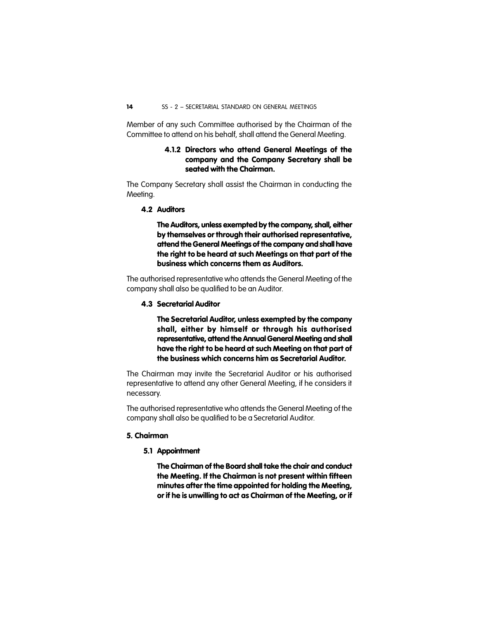Member of any such Committee authorised by the Chairman of the Committee to attend on his behalf, shall attend the General Meeting.

#### **4.1.2 Directors who attend General Meetings of the company and the Company Secretary shall be seated with the Chairman.**

The Company Secretary shall assist the Chairman in conducting the Meeting.

**4.2 Auditors**

**The Auditors, unless exempted by the company, shall, either by themselves or through their authorised representative, attend the General Meetings of the company and shall have the right to be heard at such Meetings on that part of the business which concerns them as Auditors.**

The authorised representative who attends the General Meeting of the company shall also be qualified to be an Auditor.

#### **4.3 Secretarial Auditor**

**The Secretarial Auditor, unless exempted by the company shall, either by himself or through his authorised representative, attend the Annual General Meeting and shall have the right to be heard at such Meeting on that part of the business which concerns him as Secretarial Auditor.**

The Chairman may invite the Secretarial Auditor or his authorised representative to attend any other General Meeting, if he considers it necessary.

The authorised representative who attends the General Meeting of the company shall also be qualified to be a Secretarial Auditor.

#### **5. Chairman**

**5.1 Appointment**

**The Chairman of the Board shall take the chair and conduct the Meeting. If the Chairman is not present within fifteen minutes after the time appointed for holding the Meeting, or if he is unwilling to act as Chairman of the Meeting, or if**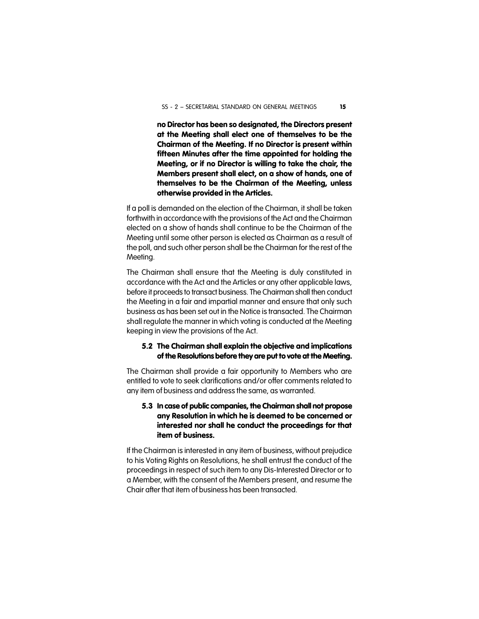**no Director has been so designated, the Directors present at the Meeting shall elect one of themselves to be the Chairman of the Meeting. If no Director is present within fifteen Minutes after the time appointed for holding the Meeting, or if no Director is willing to take the chair, the Members present shall elect, on a show of hands, one of themselves to be the Chairman of the Meeting, unless otherwise provided in the Articles.**

If a poll is demanded on the election of the Chairman, it shall be taken forthwith in accordance with the provisions of the Act and the Chairman elected on a show of hands shall continue to be the Chairman of the Meeting until some other person is elected as Chairman as a result of the poll, and such other person shall be the Chairman for the rest of the Meeting.

The Chairman shall ensure that the Meeting is duly constituted in accordance with the Act and the Articles or any other applicable laws, before it proceeds to transact business. The Chairman shall then conduct the Meeting in a fair and impartial manner and ensure that only such business as has been set out in the Notice is transacted. The Chairman shall regulate the manner in which voting is conducted at the Meeting keeping in view the provisions of the Act.

#### **5.2 The Chairman shall explain the objective and implications of the Resolutions before they are put to vote at the Meeting.**

The Chairman shall provide a fair opportunity to Members who are entitled to vote to seek clarifications and/or offer comments related to any item of business and address the same, as warranted.

#### **5.3 In case of public companies, the Chairman shall not propose any Resolution in which he is deemed to be concerned or interested nor shall he conduct the proceedings for that item of business.**

If the Chairman is interested in any item of business, without prejudice to his Voting Rights on Resolutions, he shall entrust the conduct of the proceedings in respect of such item to any Dis-Interested Director or to a Member, with the consent of the Members present, and resume the Chair after that item of business has been transacted.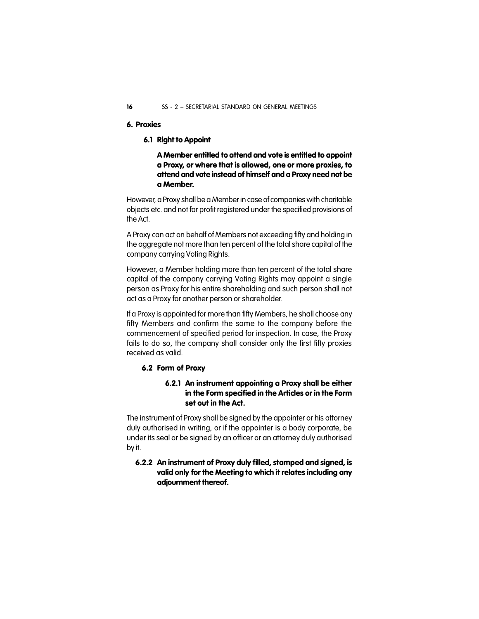#### **6. Proxies**

#### **6.1 Right to Appoint**

**A Member entitled to attend and vote is entitled to appoint a Proxy, or where that is allowed, one or more proxies, to attend and vote instead of himself and a Proxy need not be a Member.**

However, a Proxy shall be a Member in case of companies with charitable objects etc. and not for profit registered under the specified provisions of the Act.

A Proxy can act on behalf of Members not exceeding fifty and holding in the aggregate not more than ten percent of the total share capital of the company carrying Voting Rights.

However, a Member holding more than ten percent of the total share capital of the company carrying Voting Rights may appoint a single person as Proxy for his entire shareholding and such person shall not act as a Proxy for another person or shareholder.

If a Proxy is appointed for more than fifty Members, he shall choose any fifty Members and confirm the same to the company before the commencement of specified period for inspection. In case, the Proxy fails to do so, the company shall consider only the first fifty proxies received as valid.

#### **6.2 Form of Proxy**

#### **6.2.1 An instrument appointing a Proxy shall be either in the Form specified in the Articles or in the Form set out in the Act.**

The instrument of Proxy shall be signed by the appointer or his attorney duly authorised in writing, or if the appointer is a body corporate, be under its seal or be signed by an officer or an attorney duly authorised by it.

#### **6.2.2 An instrument of Proxy duly filled, stamped and signed, is valid only for the Meeting to which it relates including any adjournment thereof.**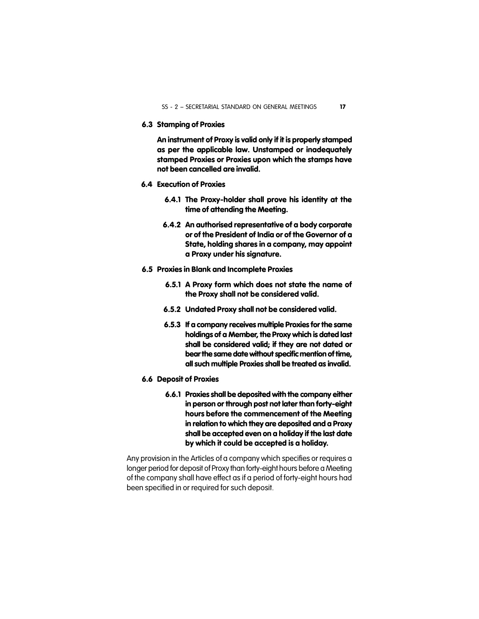**6.3 Stamping of Proxies**

**An instrument of Proxy is valid only if it is properly stamped as per the applicable law. Unstamped or inadequately stamped Proxies or Proxies upon which the stamps have not been cancelled are invalid.**

- **6.4 Execution of Proxies**
	- **6.4.1 The Proxy-holder shall prove his identity at the time of attending the Meeting.**
	- **6.4.2 An authorised representative of a body corporate or of the President of India or of the Governor of a State, holding shares in a company, may appoint a Proxy under his signature.**
- **6.5 Proxies in Blank and Incomplete Proxies**
	- **6.5.1 A Proxy form which does not state the name of the Proxy shall not be considered valid.**
	- **6.5.2 Undated Proxy shall not be considered valid.**
	- **6.5.3 If a company receives multiple Proxies for the same holdings of a Member, the Proxy which is dated last shall be considered valid; if they are not dated or bear the same date without specific mention of time, all such multiple Proxies shall be treated as invalid.**
- **6.6 Deposit of Proxies**
	- **6.6.1 Proxies shall be deposited with the company either in person or through post not later than forty-eight hours before the commencement of the Meeting in relation to which they are deposited and a Proxy shall be accepted even on a holiday if the last date by which it could be accepted is a holiday.**

Any provision in the Articles of a company which specifies or requires a longer period for deposit of Proxy than forty-eight hours before a Meeting of the company shall have effect as if a period of forty-eight hours had been specified in or required for such deposit.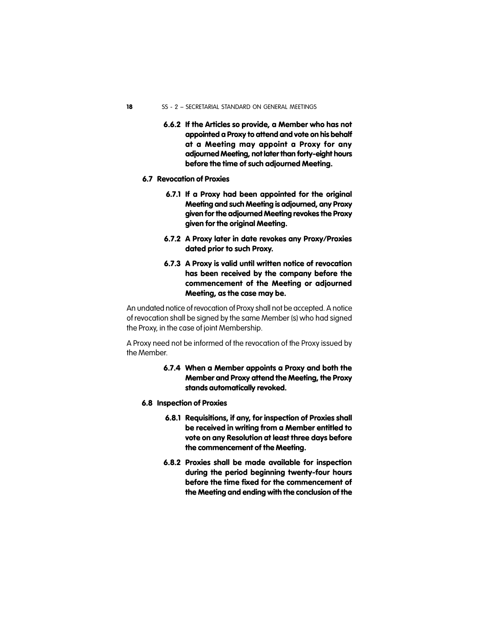- **6.6.2 If the Articles so provide, a Member who has not appointed a Proxy to attend and vote on his behalf at a Meeting may appoint a Proxy for any adjourned Meeting, not later than forty-eight hours before the time of such adjourned Meeting.**
- **6.7 Revocation of Proxies**
	- **6.7.1 If a Proxy had been appointed for the original Meeting and such Meeting is adjourned, any Proxy given for the adjourned Meeting revokes the Proxy given for the original Meeting.**
	- **6.7.2 A Proxy later in date revokes any Proxy/Proxies dated prior to such Proxy.**
	- **6.7.3 A Proxy is valid until written notice of revocation has been received by the company before the commencement of the Meeting or adjourned Meeting, as the case may be.**

An undated notice of revocation of Proxy shall not be accepted. A notice of revocation shall be signed by the same Member (s) who had signed the Proxy, in the case of joint Membership.

A Proxy need not be informed of the revocation of the Proxy issued by the Member.

#### **6.7.4 When a Member appoints a Proxy and both the Member and Proxy attend the Meeting, the Proxy stands automatically revoked.**

- **6.8 Inspection of Proxies**
	- **6.8.1 Requisitions, if any, for inspection of Proxies shall be received in writing from a Member entitled to vote on any Resolution at least three days before the commencement of the Meeting.**
	- **6.8.2 Proxies shall be made available for inspection during the period beginning twenty-four hours before the time fixed for the commencement of the Meeting and ending with the conclusion of the**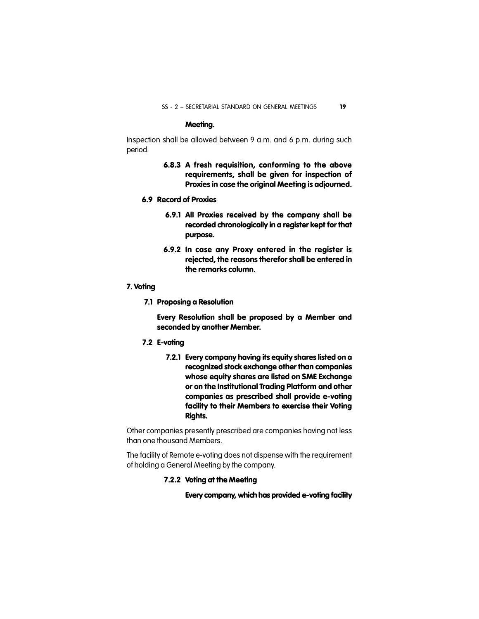#### **Meeting.**

Inspection shall be allowed between 9 a.m. and 6 p.m. during such period.

- **6.8.3 A fresh requisition, conforming to the above requirements, shall be given for inspection of Proxies in case the original Meeting is adjourned.**
- **6.9 Record of Proxies**
	- **6.9.1 All Proxies received by the company shall be recorded chronologically in a register kept for that purpose.**
	- **6.9.2 In case any Proxy entered in the register is rejected, the reasons therefor shall be entered in the remarks column.**

#### **7. Voting**

**7.1 Proposing a Resolution**

**Every Resolution shall be proposed by a Member and seconded by another Member.**

- **7.2 E-voting**
	- **7.2.1 Every company having its equity shares listed on a recognized stock exchange other than companies whose equity shares are listed on SME Exchange or on the Institutional Trading Platform and other companies as prescribed shall provide e-voting facility to their Members to exercise their Voting Rights.**

Other companies presently prescribed are companies having not less than one thousand Members.

The facility of Remote e-voting does not dispense with the requirement of holding a General Meeting by the company.

#### **7.2.2 Voting at the Meeting**

**Every company, which has provided e-voting facility**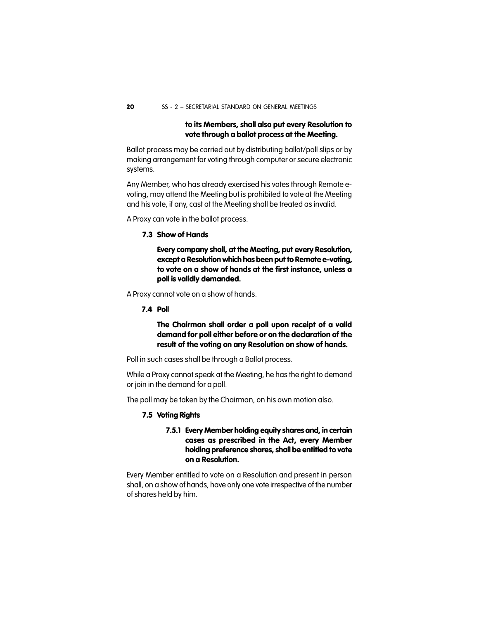#### **to its Members, shall also put every Resolution to vote through a ballot process at the Meeting.**

Ballot process may be carried out by distributing ballot/poll slips or by making arrangement for voting through computer or secure electronic systems.

Any Member, who has already exercised his votes through Remote evoting, may attend the Meeting but is prohibited to vote at the Meeting and his vote, if any, cast at the Meeting shall be treated as invalid.

A Proxy can vote in the ballot process.

#### **7.3 Show of Hands**

**Every company shall, at the Meeting, put every Resolution, except a Resolution which has been put to Remote e-voting, to vote on a show of hands at the first instance, unless a poll is validly demanded.**

A Proxy cannot vote on a show of hands.

**7.4 Poll**

**The Chairman shall order a poll upon receipt of a valid demand for poll either before or on the declaration of the result of the voting on any Resolution on show of hands.**

Poll in such cases shall be through a Ballot process.

While a Proxy cannot speak at the Meeting, he has the right to demand or join in the demand for a poll.

The poll may be taken by the Chairman, on his own motion also.

#### **7.5 Voting Rights**

#### **7.5.1 Every Member holding equity shares and, in certain cases as prescribed in the Act, every Member holding preference shares, shall be entitled to vote on a Resolution.**

Every Member entitled to vote on a Resolution and present in person shall, on a show of hands, have only one vote irrespective of the number of shares held by him.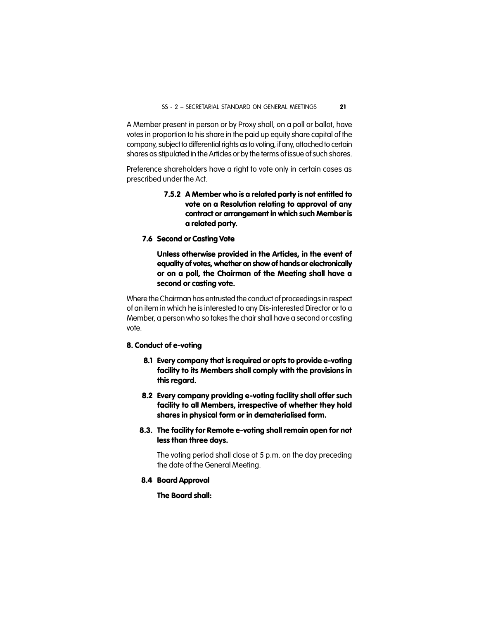A Member present in person or by Proxy shall, on a poll or ballot, have votes in proportion to his share in the paid up equity share capital of the company, subject to differential rights as to voting, if any, attached to certain shares as stipulated in the Articles or by the terms of issue of such shares.

Preference shareholders have a right to vote only in certain cases as prescribed under the Act.

- **7.5.2 A Member who is a related party is not entitled to vote on a Resolution relating to approval of any contract or arrangement in which such Member is a related party.**
- **7.6 Second or Casting Vote**

**Unless otherwise provided in the Articles, in the event of equality of votes, whether on show of hands or electronically or on a poll, the Chairman of the Meeting shall have a second or casting vote.**

Where the Chairman has entrusted the conduct of proceedings in respect of an item in which he is interested to any Dis-interested Director or to a Member, a person who so takes the chair shall have a second or casting vote.

#### **8. Conduct of e-voting**

- **8.1 Every company that is required or opts to provide e-voting facility to its Members shall comply with the provisions in this regard.**
- **8.2 Every company providing e-voting facility shall offer such facility to all Members, irrespective of whether they hold shares in physical form or in dematerialised form.**
- **8.3. The facility for Remote e-voting shall remain open for not less than three days.**

The voting period shall close at 5 p.m. on the day preceding the date of the General Meeting.

**8.4 Board Approval**

**The Board shall:**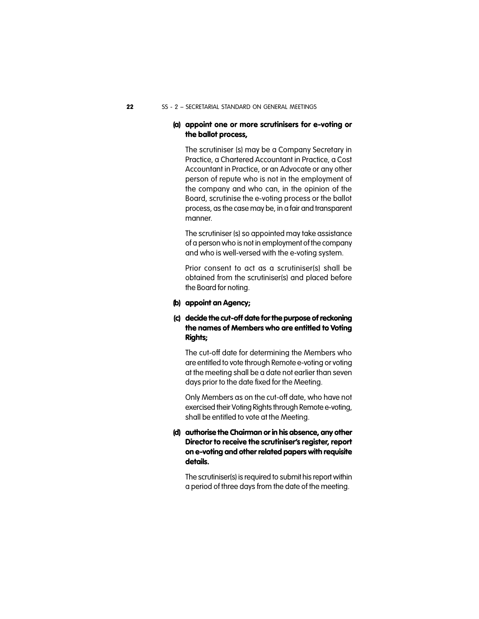#### **(a) appoint one or more scrutinisers for e-voting or the ballot process,**

The scrutiniser (s) may be a Company Secretary in Practice, a Chartered Accountant in Practice, a Cost Accountant in Practice, or an Advocate or any other person of repute who is not in the employment of the company and who can, in the opinion of the Board, scrutinise the e-voting process or the ballot process, as the case may be, in a fair and transparent manner.

The scrutiniser (s) so appointed may take assistance of a person who is not in employment of the company and who is well-versed with the e-voting system.

Prior consent to act as a scrutiniser(s) shall be obtained from the scrutiniser(s) and placed before the Board for noting.

#### **(b) appoint an Agency;**

#### **(c) decide the cut-off date for the purpose of reckoning the names of Members who are entitled to Voting Rights;**

The cut-off date for determining the Members who are entitled to vote through Remote e-voting or voting at the meeting shall be a date not earlier than seven days prior to the date fixed for the Meeting.

Only Members as on the cut-off date, who have not exercised their Voting Rights through Remote e-voting, shall be entitled to vote at the Meeting.

#### **(d) authorise the Chairman or in his absence, any other Director to receive the scrutiniser's register, report on e-voting and other related papers with requisite details.**

The scrutiniser(s) is required to submit his report within a period of three days from the date of the meeting.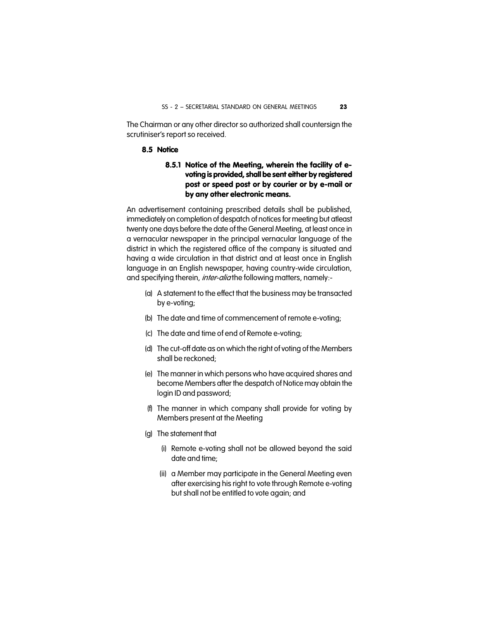The Chairman or any other director so authorized shall countersign the scrutiniser's report so received.

#### **8.5 Notice**

#### **8.5.1 Notice of the Meeting, wherein the facility of evoting is provided, shall be sent either by registered post or speed post or by courier or by e-mail or by any other electronic means.**

An advertisement containing prescribed details shall be published, immediately on completion of despatch of notices for meeting but atleast twenty one days before the date of the General Meeting, at least once in a vernacular newspaper in the principal vernacular language of the district in which the registered office of the company is situated and having a wide circulation in that district and at least once in English language in an English newspaper, having country-wide circulation, and specifying therein, *inter-alia* the following matters, namely:-

- (a) A statement to the effect that the business may be transacted by e-voting;
- (b) The date and time of commencement of remote e-voting;
- (c) The date and time of end of Remote e-voting;
- (d) The cut-off date as on which the right of voting of the Members shall be reckoned;
- (e) The manner in which persons who have acquired shares and become Members after the despatch of Notice may obtain the login ID and password;
- (f) The manner in which company shall provide for voting by Members present at the Meeting
- (g) The statement that
	- (i) Remote e-voting shall not be allowed beyond the said date and time;
	- (ii) a Member may participate in the General Meeting even after exercising his right to vote through Remote e-voting but shall not be entitled to vote again; and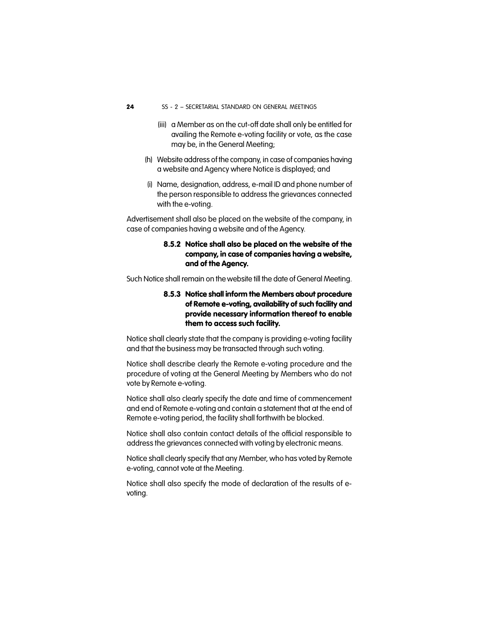- (iii) a Member as on the cut-off date shall only be entitled for availing the Remote e-voting facility or vote, as the case may be, in the General Meeting;
- (h) Website address of the company, in case of companies having a website and Agency where Notice is displayed; and
- (i) Name, designation, address, e-mail ID and phone number of the person responsible to address the grievances connected with the e-voting.

Advertisement shall also be placed on the website of the company, in case of companies having a website and of the Agency.

#### **8.5.2 Notice shall also be placed on the website of the company, in case of companies having a website, and of the Agency.**

Such Notice shall remain on the website till the date of General Meeting.

#### **8.5.3 Notice shall inform the Members about procedure of Remote e-voting, availability of such facility and provide necessary information thereof to enable them to access such facility.**

Notice shall clearly state that the company is providing e-voting facility and that the business may be transacted through such voting.

Notice shall describe clearly the Remote e-voting procedure and the procedure of voting at the General Meeting by Members who do not vote by Remote e-voting.

Notice shall also clearly specify the date and time of commencement and end of Remote e-voting and contain a statement that at the end of Remote e-voting period, the facility shall forthwith be blocked.

Notice shall also contain contact details of the official responsible to address the grievances connected with voting by electronic means.

Notice shall clearly specify that any Member, who has voted by Remote e-voting, cannot vote at the Meeting.

Notice shall also specify the mode of declaration of the results of evoting.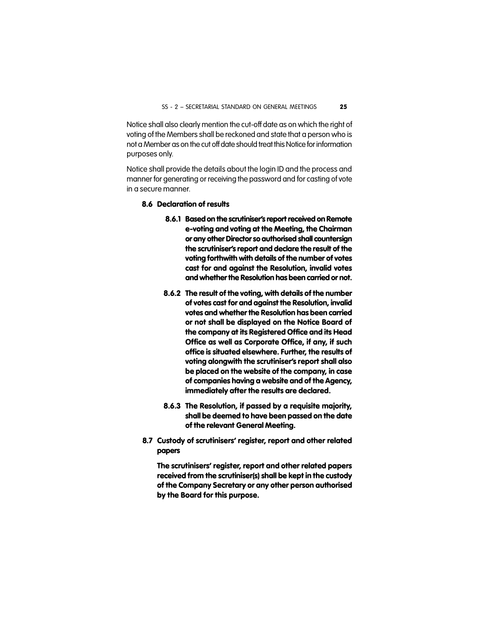Notice shall also clearly mention the cut-off date as on which the right of voting of the Members shall be reckoned and state that a person who is not a Member as on the cut offdate should treat this Notice for information purposes only.

Notice shall provide the details about the login ID and the process and manner for generating or receiving the password and for casting of vote in a secure manner.

#### **8.6 Declaration of results**

- **8.6.1 Based on the scrutiniser's report received on Remote e-voting and voting at the Meeting, the Chairman or any other Director so authorised shall countersign the scrutiniser's report and declare the result of the voting forthwith with details of the number of votes cast for and against the Resolution, invalid votes and whether the Resolution has been carried or not.**
- **8.6.2 The result of the voting, with details of the number of votes cast for and against the Resolution, invalid votes and whether the Resolution has been carried or not shall be displayed on the Notice Board of the company at its Registered Office and its Head Office as well as Corporate Office, if any, if such office is situated elsewhere. Further, the results of voting alongwith the scrutiniser's report shall also be placed on the website of the company, in case of companies having a website and of the Agency, immediately after the results are declared.**
- **8.6.3 The Resolution, if passed by a requisite majority, shall be deemed to have been passed on the date of the relevant General Meeting.**
- **8.7 Custody of scrutinisers' register, report and other related papers**

**The scrutinisers' register, report and other related papers received from the scrutiniser(s) shall be kept in the custody of the Company Secretary or any other person authorised by the Board for this purpose.**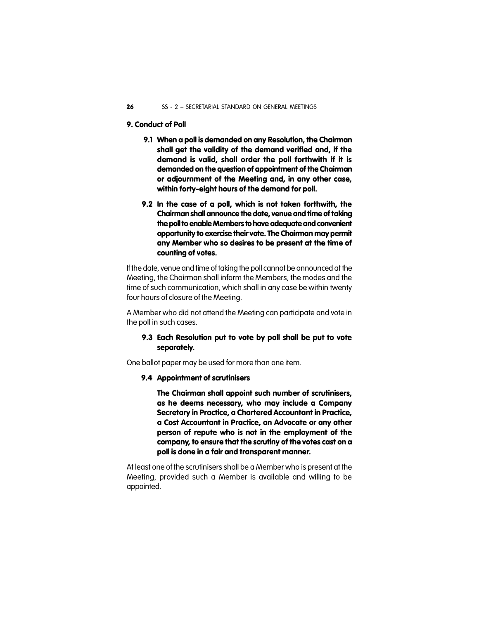#### **9. Conduct of Poll**

- **9.1 When a poll is demanded on any Resolution, the Chairman shall get the validity of the demand verified and, if the demand is valid, shall order the poll forthwith if it is demanded on the question of appointment of the Chairman or adjournment of the Meeting and, in any other case, within forty-eight hours of the demand for poll.**
- **9.2 In the case of a poll, which is not taken forthwith, the Chairman shall announce the date, venue and time of taking the poll to enable Members to have adequate and convenient opportunity to exercise their vote. The Chairman may permit any Member who so desires to be present at the time of counting of votes.**

If the date, venue and time of taking the poll cannot be announced at the Meeting, the Chairman shall inform the Members, the modes and the time of such communication, which shall in any case be within twenty four hours of closure of the Meeting.

A Member who did not attend the Meeting can participate and vote in the poll in such cases.

#### **9.3 Each Resolution put to vote by poll shall be put to vote separately.**

One ballot paper may be used for more than one item.

#### **9.4 Appointment of scrutinisers**

**The Chairman shall appoint such number of scrutinisers, as he deems necessary, who may include a Company Secretary in Practice, a Chartered Accountant in Practice, a Cost Accountant in Practice, an Advocate or any other person of repute who is not in the employment of the company, to ensure that the scrutiny of the votes cast on a poll is done in a fair and transparent manner.**

At least one of the scrutinisers shall be a Member who is present at the Meeting, provided such a Member is available and willing to be appointed.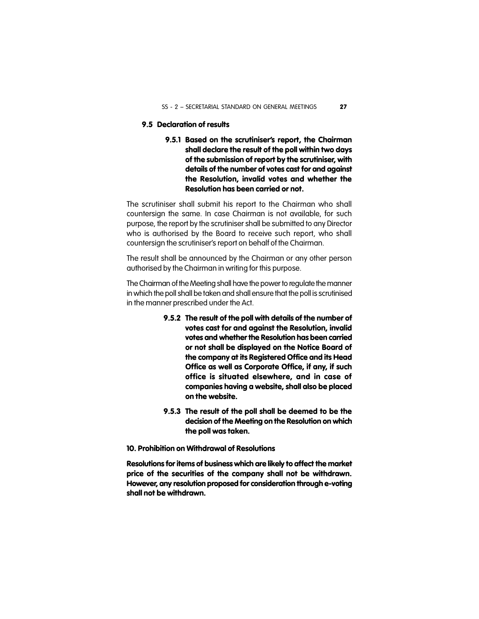#### **9.5 Declaration of results**

**9.5.1 Based on the scrutiniser's report, the Chairman shall declare the result of the poll within two days of the submission of report by the scrutiniser, with details of the number of votes cast for and against the Resolution, invalid votes and whether the Resolution has been carried or not.**

The scrutiniser shall submit his report to the Chairman who shall countersign the same. In case Chairman is not available, for such purpose, the report by the scrutiniser shall be submitted to any Director who is authorised by the Board to receive such report, who shall countersign the scrutiniser's report on behalf of the Chairman.

The result shall be announced by the Chairman or any other person authorised by the Chairman in writing for this purpose.

The Chairman of the Meeting shall have the power to regulate the manner in which the poll shall be taken and shall ensure that the poll is scrutinised in the manner prescribed under the Act.

- **9.5.2 The result of the poll with details of the number of votes cast for and against the Resolution, invalid votes and whether the Resolution has been carried or not shall be displayed on the Notice Board of the company at its Registered Office and its Head Office as well as Corporate Office, if any, if such office is situated elsewhere, and in case of companies having a website, shall also be placed on the website.**
- **9.5.3 The result of the poll shall be deemed to be the decision of the Meeting on the Resolution on which the poll was taken.**

#### **10. Prohibition on Withdrawal of Resolutions**

**Resolutions for items of business which are likely to affect the market price of the securities of the company shall not be withdrawn. However, any resolution proposed for consideration through e-voting shall not be withdrawn.**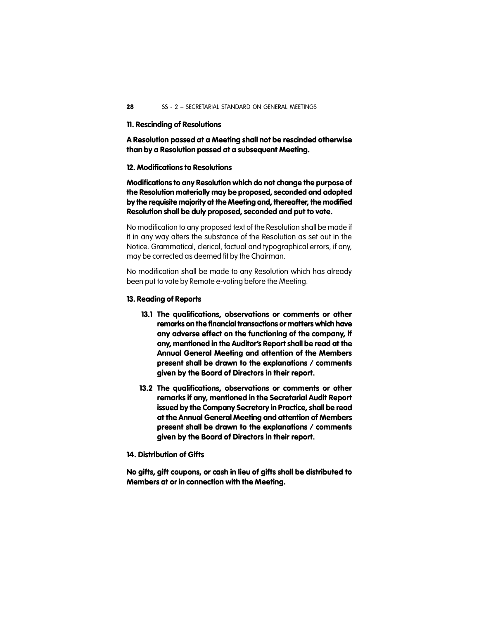#### **11. Rescinding of Resolutions**

**A Resolution passed at a Meeting shall not be rescinded otherwise than by a Resolution passed at a subsequent Meeting.**

#### **12. Modifications to Resolutions**

**Modifications to any Resolution which do not change the purpose of the Resolution materially may be proposed, seconded and adopted by the requisite majority at the Meeting and, thereafter, the modified Resolution shall be duly proposed, seconded and put to vote.**

No modification to any proposed text of the Resolution shall be made if it in any way alters the substance of the Resolution as set out in the Notice. Grammatical, clerical, factual and typographical errors, if any, may be corrected as deemed fit by the Chairman.

No modification shall be made to any Resolution which has already been put to vote by Remote e-voting before the Meeting.

#### **13. Reading of Reports**

- **13.1 The qualifications, observations or comments or other remarks on the financial transactions or matters which have any adverse effect on the functioning of the company, if any, mentioned in the Auditor's Report shall be read at the Annual General Meeting and attention of the Members present shall be drawn to the explanations / comments given by the Board of Directors in their report.**
- **13.2 The qualifications, observations or comments or other remarks if any, mentioned in the Secretarial Audit Report issued by the Company Secretary in Practice, shall be read at the Annual General Meeting and attention of Members present shall be drawn to the explanations / comments given by the Board of Directors in their report.**
- **14. Distribution of Gifts**

**No gifts, gift coupons, or cash in lieu of gifts shall be distributed to Members at or in connection with the Meeting.**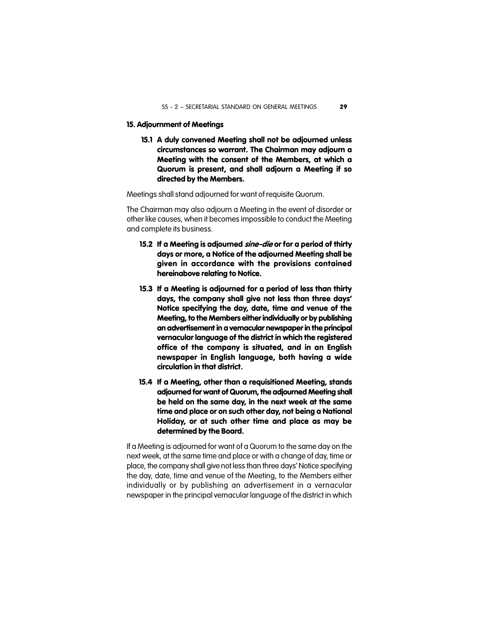#### **15. Adjournment of Meetings**

**15.1 A duly convened Meeting shall not be adjourned unless circumstances so warrant. The Chairman may adjourn a Meeting with the consent of the Members, at which a Quorum is present, and shall adjourn a Meeting if so directed by the Members.**

Meetings shall stand adjourned for want of requisite Quorum.

The Chairman may also adjourn a Meeting in the event of disorder or other like causes, when it becomes impossible to conduct the Meeting and complete its business.

- **15.2 If a Meeting is adjourned** *sine-die* **or for a period of thirty days or more, a Notice of the adjourned Meeting shall be given in accordance with the provisions contained hereinabove relating to Notice.**
- **15.3 If a Meeting is adjourned for a period of less than thirty days, the company shall give not less than three days' Notice specifying the day, date, time and venue of the Meeting, to the Members either individually or by publishing an advertisement in a vernacular newspaper in the principal vernacular language of the district in which the registered office of the company is situated, and in an English newspaper in English language, both having a wide circulation in that district.**
- **15.4 If a Meeting, other than a requisitioned Meeting, stands adjourned for want of Quorum, the adjourned Meeting shall be held on the same day, in the next week at the same time and place or on such other day, not being a National Holiday, or at such other time and place as may be determined by the Board.**

If a Meeting is adjourned for want of a Quorum to the same day on the next week, at the same time and place or with a change of day, time or place, the company shall give not less than three days' Notice specifying the day, date, time and venue of the Meeting, to the Members either individually or by publishing an advertisement in a vernacular newspaper in the principal vernacular language of the district in which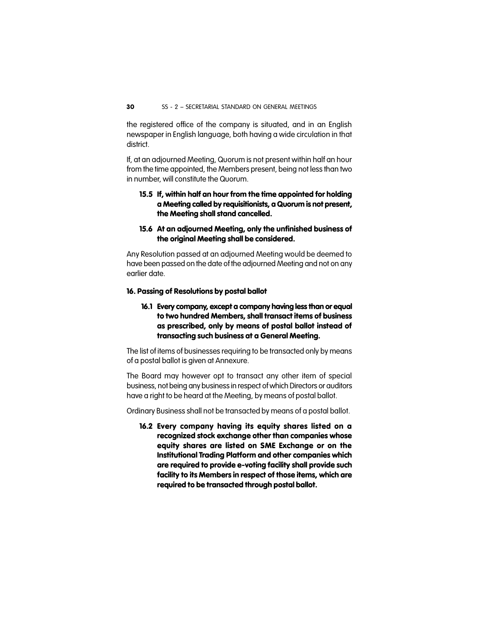the registered office of the company is situated, and in an English newspaper in English language, both having a wide circulation in that district.

If, at an adjourned Meeting, Quorum is not present within half an hour from the time appointed, the Members present, being not less than two in number, will constitute the Quorum.

#### **15.5 If, within half an hour from the time appointed for holding a Meeting called by requisitionists, a Quorum is not present, the Meeting shall stand cancelled.**

#### **15.6 At an adjourned Meeting, only the unfinished business of the original Meeting shall be considered.**

Any Resolution passed at an adjourned Meeting would be deemed to have been passed on the date of the adjourned Meeting and not on any earlier date.

#### **16. Passing of Resolutions by postal ballot**

#### **16.1 Every company, except a company having less than or equal to two hundred Members, shall transact items of business as prescribed, only by means of postal ballot instead of transacting such business at a General Meeting.**

The list of items of businesses requiring to be transacted only by means of a postal ballot is given at Annexure.

The Board may however opt to transact any other item of special business, not being any business in respect of which Directors or auditors have a right to be heard at the Meeting, by means of postal ballot.

Ordinary Business shall not be transacted by means of a postal ballot.

**16.2 Every company having its equity shares listed on a recognized stock exchange other than companies whose equity shares are listed on SME Exchange or on the Institutional Trading Platform and other companies which are required to provide e-voting facility shall provide such facility to its Members in respect of those items, which are required to be transacted through postal ballot.**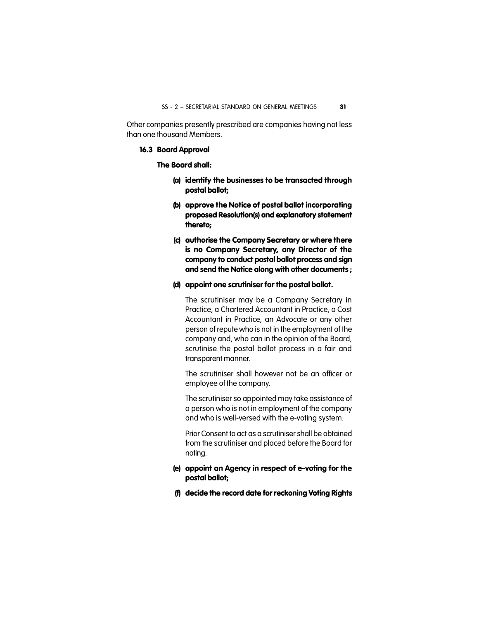Other companies presently prescribed are companies having not less than one thousand Members.

#### **16.3 Board Approval**

#### **The Board shall:**

- **(a) identify the businesses to be transacted through postal ballot;**
- **(b) approve the Notice of postal ballot incorporating proposed Resolution(s) and explanatory statement thereto;**
- **(c) authorise the Company Secretary or where there is no Company Secretary, any Director of the company to conduct postal ballot process and sign and send the Notice along with other documents ;**

#### **(d) appoint one scrutiniser for the postal ballot.**

The scrutiniser may be a Company Secretary in Practice, a Chartered Accountant in Practice, a Cost Accountant in Practice, an Advocate or any other person of repute who is not in the employment of the company and, who can in the opinion of the Board, scrutinise the postal ballot process in a fair and transparent manner.

The scrutiniser shall however not be an officer or employee of the company.

The scrutiniser so appointed may take assistance of a person who is not in employment of the company and who is well-versed with the e-voting system.

Prior Consent to act as a scrutiniser shall be obtained from the scrutiniser and placed before the Board for noting.

#### **(e) appoint an Agency in respect of e-voting for the postal ballot;**

**(f) decide the record date for reckoning Voting Rights**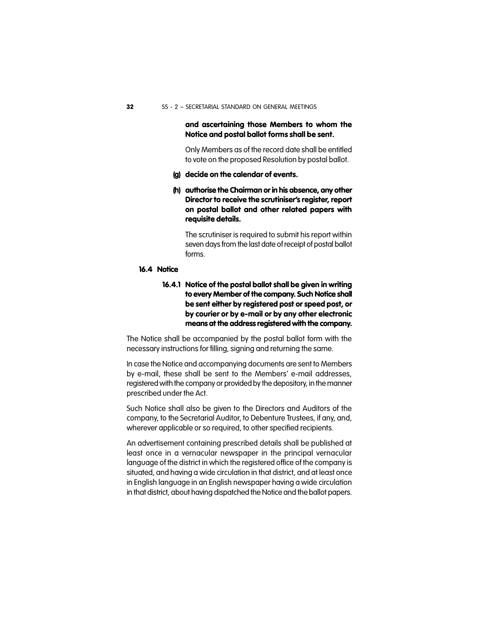#### **and ascertaining those Members to whom the Notice and postal ballot forms shall be sent.**

Only Members as of the record date shall be entitled to vote on the proposed Resolution by postal ballot.

- **(g) decide on the calendar of events.**
- **(h) authorise the Chairman or in his absence, any other Director to receive the scrutiniser's register, report on postal ballot and other related papers with requisite details.**

The scrutiniser is required to submit his report within seven days from the last date of receipt of postal ballot forms.

#### **16.4 Notice**

**16.4.1 Notice of the postal ballot shall be given in writing to every Member of the company. Such Notice shall be sent either by registered post or speed post, or by courier or by e-mail or by any other electronic means at the address registered with the company.**

The Notice shall be accompanied by the postal ballot form with the necessary instructions for filling, signing and returning the same.

In case the Notice and accompanying documents are sent to Members by e-mail, these shall be sent to the Members' e-mail addresses, registered with the company or provided by the depository, in the manner prescribed under the Act.

Such Notice shall also be given to the Directors and Auditors of the company, to the Secretarial Auditor, to Debenture Trustees, if any, and, wherever applicable or so required, to other specified recipients.

An advertisement containing prescribed details shall be published at least once in a vernacular newspaper in the principal vernacular language of the district in which the registered office of the company is situated, and having a wide circulation in that district, and at least once in English language in an English newspaper having a wide circulation in that district, about having dispatched the Notice and the ballot papers.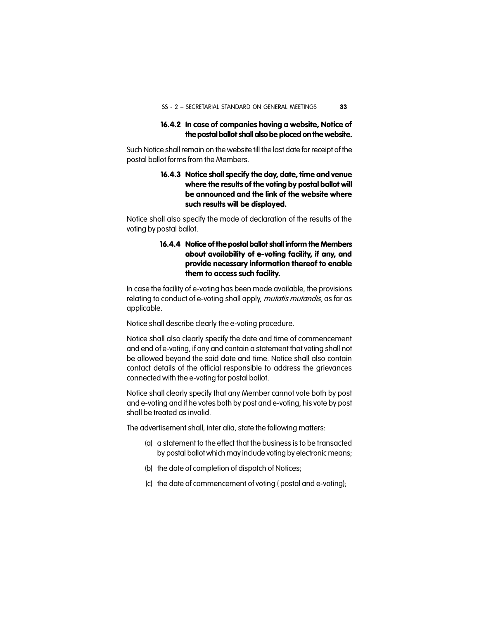#### **16.4.2 In case of companies having a website, Notice of the postal ballot shall also be placed on the website.**

Such Notice shall remain on the website till the last date for receipt of the postal ballot forms from the Members.

#### **16.4.3 Notice shall specify the day, date, time and venue where the results of the voting by postal ballot will be announced and the link of the website where such results will be displayed.**

Notice shall also specify the mode of declaration of the results of the voting by postal ballot.

#### **16.4.4 Notice of the postal ballot shall inform the Members about availability of e-voting facility, if any, and provide necessary information thereof to enable them to access such facility.**

In case the facility of e-voting has been made available, the provisions relating to conduct of e-voting shall apply, *mutatis mutandis,* as far as applicable.

Notice shall describe clearly the e-voting procedure.

Notice shall also clearly specify the date and time of commencement and end of e-voting, if any and contain a statement that voting shall not be allowed beyond the said date and time. Notice shall also contain contact details of the official responsible to address the grievances connected with the e-voting for postal ballot.

Notice shall clearly specify that any Member cannot vote both by post and e-voting and if he votes both by post and e-voting, his vote by post shall be treated as invalid.

The advertisement shall, inter alia, state the following matters:

- (a) a statement to the effect that the business is to be transacted by postal ballot which may include voting by electronic means;
- (b) the date of completion of dispatch of Notices;
- (c) the date of commencement of voting ( postal and e-voting);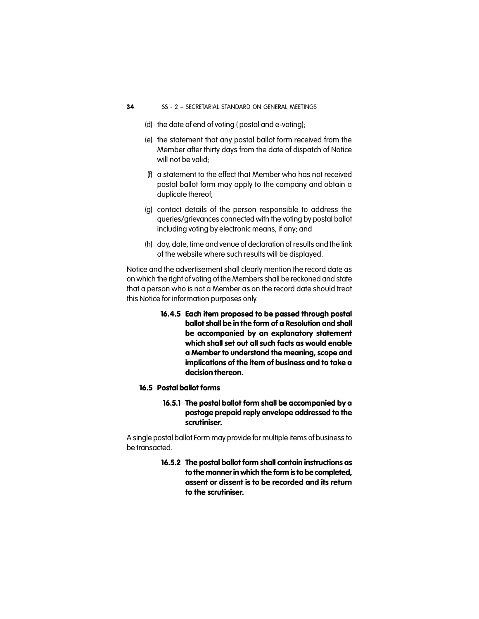- (d) the date of end of voting ( postal and e-voting);
- (e) the statement that any postal ballot form received from the Member after thirty days from the date of dispatch of Notice will not be valid;
- (f) a statement to the effect that Member who has not received postal ballot form may apply to the company and obtain a duplicate thereof;
- (g) contact details of the person responsible to address the queries/grievances connected with the voting by postal ballot including voting by electronic means, if any; and
- (h) day, date, time and venue of declaration of results and the link of the website where such results will be displayed.

Notice and the advertisement shall clearly mention the record date as on which the right of voting of the Members shall be reckoned and state that a person who is not a Member as on the record date should treat this Notice for information purposes only.

- **16.4.5 Each item proposed to be passed through postal ballot shall be in the form of a Resolution and shall be accompanied by an explanatory statement which shall set out all such facts as would enable a Member to understand the meaning, scope and implications of the item of business and to take a decision thereon.**
- **16.5 Postal ballot forms**
	- **16.5.1 The postal ballot form shall be accompanied by a postage prepaid reply envelope addressed to the scrutiniser.**

A single postal ballot Form may provide for multiple items of business to be transacted.

> **16.5.2 The postal ballot form shall contain instructions as to the manner in which the form is to be completed, assent or dissent is to be recorded and its return to the scrutiniser.**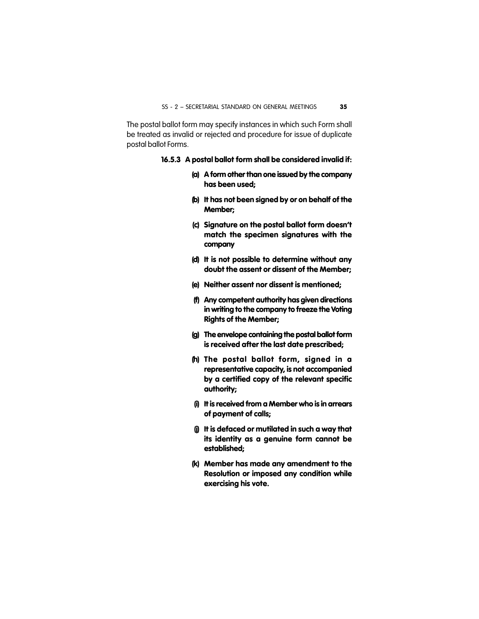The postal ballot form may specify instances in which such Form shall be treated as invalid or rejected and procedure for issue of duplicate postal ballot Forms.

#### **16.5.3 A postal ballot form shall be considered invalid if:**

- **(a) A form other than one issued by the company has been used;**
- **(b) It has not been signed by or on behalf of the Member;**
- **(c) Signature on the postal ballot form doesn't match the specimen signatures with the company**
- **(d) It is not possible to determine without any doubt the assent or dissent of the Member;**
- **(e) Neither assent nor dissent is mentioned;**
- **(f) Any competent authority has given directions in writing to the company to freeze the Voting Rights of the Member;**
- **(g) The envelope containing the postal ballot form is received after the last date prescribed;**
- **(h) The postal ballot form, signed in a representative capacity, is not accompanied by a certified copy of the relevant specific authority;**
- **(i) It is received from a Member who is in arrears of payment of calls;**
- **(j) It is defaced or mutilated in such a way that its identity as a genuine form cannot be established;**
- **(k) Member has made any amendment to the Resolution or imposed any condition while exercising his vote.**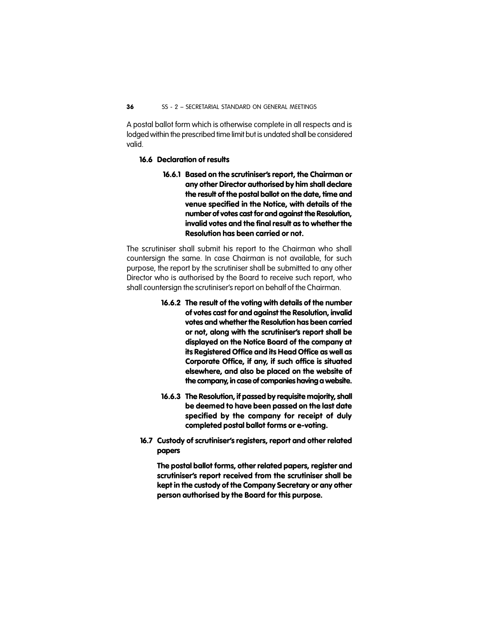A postal ballot form which is otherwise complete in all respects and is lodged within the prescribed time limit but is undated shall be considered valid.

#### **16.6 Declaration of results**

**16.6.1 Based on the scrutiniser's report, the Chairman or any other Director authorised by him shall declare the result of the postal ballot on the date, time and venue specified in the Notice, with details of the number of votes cast for and against the Resolution, invalid votes and the final result as to whether the Resolution has been carried or not.**

The scrutiniser shall submit his report to the Chairman who shall countersign the same. In case Chairman is not available, for such purpose, the report by the scrutiniser shall be submitted to any other Director who is authorised by the Board to receive such report, who shall countersign the scrutiniser's report on behalf of the Chairman.

- **16.6.2 The result of the voting with details of the number of votes cast for and against the Resolution, invalid votes and whether the Resolution has been carried or not, along with the scrutiniser's report shall be displayed on the Notice Board of the company at its Registered Office and its Head Office as well as Corporate Office, if any, if such office is situated elsewhere, and also be placed on the website of the company, in case of companies having a website.**
- **16.6.3 The Resolution, if passed by requisite majority, shall be deemed to have been passed on the last date specified by the company for receipt of duly completed postal ballot forms or e-voting.**
- **16.7 Custody of scrutiniser's registers, report and other related papers**

**The postal ballot forms, other related papers, register and scrutiniser's report received from the scrutiniser shall be kept in the custody of the Company Secretary or any other person authorised by the Board for this purpose.**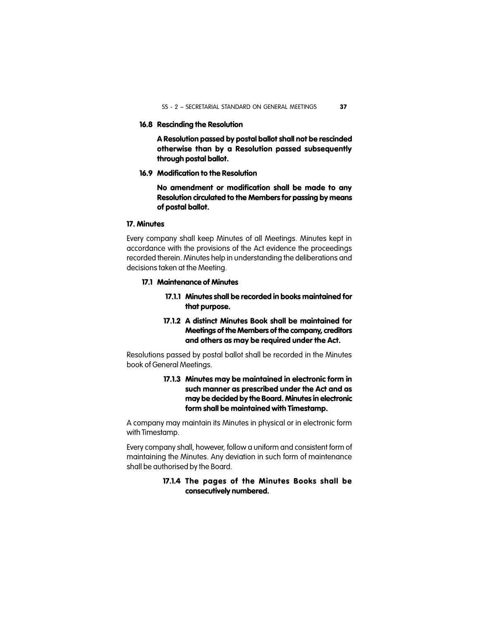#### **16.8 Rescinding the Resolution**

**A Resolution passed by postal ballot shall not be rescinded otherwise than by a Resolution passed subsequently through postal ballot.**

**16.9 Modification to the Resolution**

**No amendment or modification shall be made to any Resolution circulated to the Members for passing by means of postal ballot.**

#### **17. Minutes**

Every company shall keep Minutes of all Meetings. Minutes kept in accordance with the provisions of the Act evidence the proceedings recorded therein. Minutes help in understanding the deliberations and decisions taken at the Meeting.

#### **17.1 Maintenance of Minutes**

- **17.1.1 Minutes shall be recorded in books maintained for that purpose.**
- **17.1.2 A distinct Minutes Book shall be maintained for Meetings of the Members of the company, creditors and others as may be required under the Act.**

Resolutions passed by postal ballot shall be recorded in the Minutes book of General Meetings.

#### **17.1.3 Minutes may be maintained in electronic form in such manner as prescribed under the Act and as may be decided by the Board. Minutes in electronic form shall be maintained with Timestamp.**

A company may maintain its Minutes in physical or in electronic form with Timestamp.

Every company shall, however, follow a uniform and consistent form of maintaining the Minutes. Any deviation in such form of maintenance shall be authorised by the Board.

#### **17.1.4 The pages of the Minutes Books shall be consecutively numbered.**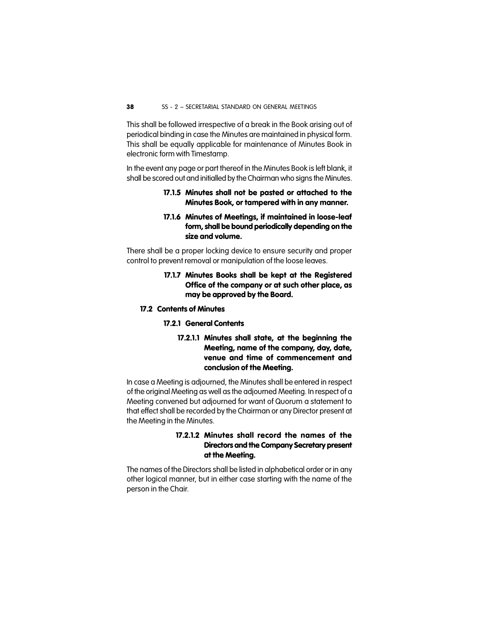This shall be followed irrespective of a break in the Book arising out of periodical binding in case the Minutes are maintained in physical form. This shall be equally applicable for maintenance of Minutes Book in electronic form with Timestamp.

In the event any page or part thereof in the Minutes Book is left blank, it shall be scored out and initialled by the Chairman who signs the Minutes.

#### **17.1.5 Minutes shall not be pasted or attached to the Minutes Book, or tampered with in any manner.**

#### **17.1.6 Minutes of Meetings, if maintained in loose-leaf form, shall be bound periodically depending on the size and volume.**

There shall be a proper locking device to ensure security and proper control to prevent removal or manipulation of the loose leaves.

#### **17.1.7 Minutes Books shall be kept at the Registered Office of the company or at such other place, as may be approved by the Board.**

#### **17.2 Contents of Minutes**

#### **17.2.1 General Contents**

**17.2.1.1 Minutes shall state, at the beginning the Meeting, name of the company, day, date, venue and time of commencement and conclusion of the Meeting.**

In case a Meeting is adjourned, the Minutes shall be entered in respect of the original Meeting as well as the adjourned Meeting. In respect of a Meeting convened but adjourned for want of Quorum a statement to that effect shall be recorded by the Chairman or any Director present at the Meeting in the Minutes.

#### **17.2.1.2 Minutes shall record the names of the Directors and the Company Secretary present at the Meeting.**

The names of the Directors shall be listed in alphabetical order or in any other logical manner, but in either case starting with the name of the person in the Chair.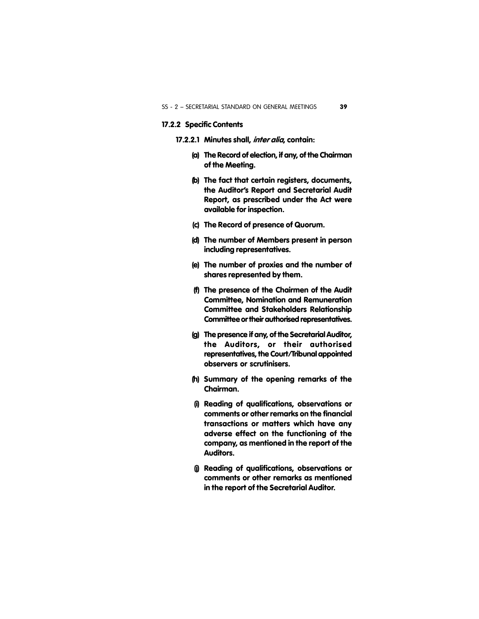#### **17.2.2 Specific Contents**

- **17.2.2.1 Minutes shall,** *inter alia***, contain:**
	- **(a) The Record of election, if any, of the Chairman of the Meeting.**
	- **(b) The fact that certain registers, documents, the Auditor's Report and Secretarial Audit Report, as prescribed under the Act were available for inspection.**
	- **(c) The Record of presence of Quorum.**
	- **(d) The number of Members present in person including representatives.**
	- **(e) The number of proxies and the number of shares represented by them.**
	- **(f) The presence of the Chairmen of the Audit Committee, Nomination and Remuneration Committee and Stakeholders Relationship Committee or their authorised representatives.**
	- **(g) The presence if any, of the Secretarial Auditor, the Auditors, or their authorised representatives, the Court/Tribunal appointed observers or scrutinisers.**
	- **(h) Summary of the opening remarks of the Chairman.**
	- **(i) Reading of qualifications, observations or comments or other remarks on the financial transactions or matters which have any adverse effect on the functioning of the company, as mentioned in the report of the Auditors.**
	- **(j) Reading of qualifications, observations or comments or other remarks as mentioned in the report of the Secretarial Auditor.**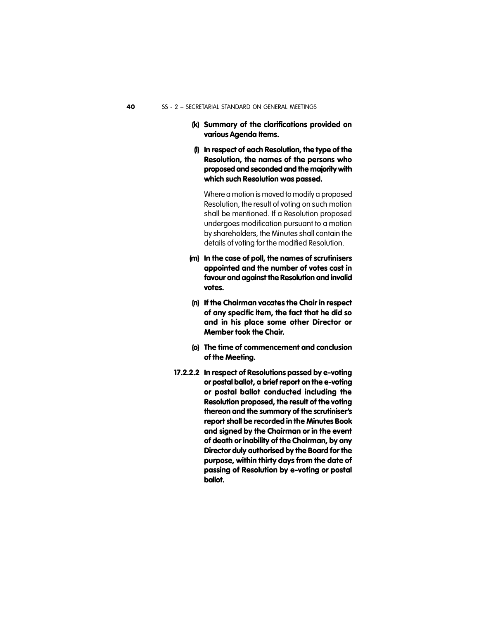- **(k) Summary of the clarifications provided on various Agenda Items.**
- **(l) In respect of each Resolution, the type of the Resolution, the names of the persons who proposed and seconded and the majority with which such Resolution was passed.**

Where a motion is moved to modify a proposed Resolution, the result of voting on such motion shall be mentioned. If a Resolution proposed undergoes modification pursuant to a motion by shareholders, the Minutes shall contain the details of voting for the modified Resolution.

- **(m) In the case of poll, the names of scrutinisers appointed and the number of votes cast in favour and against the Resolution and invalid votes.**
- **(n) If the Chairman vacates the Chair in respect of any specific item, the fact that he did so and in his place some other Director or Member took the Chair.**
- **(o) The time of commencement and conclusion of the Meeting.**
- **17.2.2.2 In respect of Resolutions passed by e-voting or postal ballot, a brief report on the e-voting or postal ballot conducted including the Resolution proposed, the result of the voting thereon and the summary of the scrutiniser's report shall be recorded in the Minutes Book and signed by the Chairman or in the event of death or inability of the Chairman, by any Director duly authorised by the Board for the purpose, within thirty days from the date of passing of Resolution by e-voting or postal ballot.**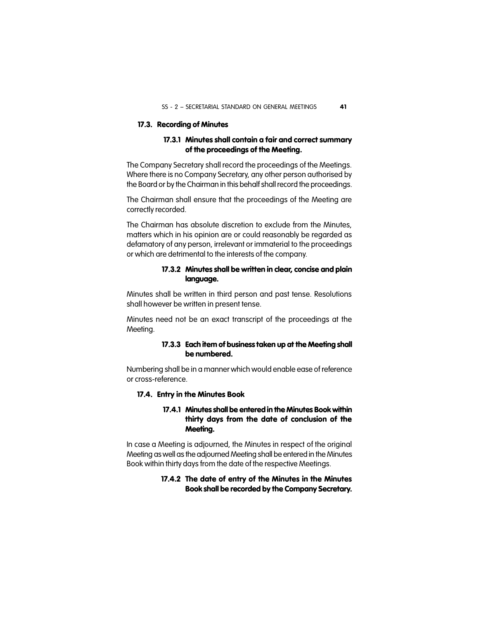#### **17.3. Recording of Minutes**

#### **17.3.1 Minutes shall contain a fair and correct summary of the proceedings of the Meeting.**

The Company Secretary shall record the proceedings of the Meetings. Where there is no Company Secretary, any other person authorised by the Board or by the Chairman in this behalf shall record the proceedings.

The Chairman shall ensure that the proceedings of the Meeting are correctly recorded.

The Chairman has absolute discretion to exclude from the Minutes, matters which in his opinion are or could reasonably be regarded as defamatory of any person, irrelevant or immaterial to the proceedings or which are detrimental to the interests of the company.

#### **17.3.2 Minutes shall be written in clear, concise and plain language.**

Minutes shall be written in third person and past tense. Resolutions shall however be written in present tense.

Minutes need not be an exact transcript of the proceedings at the Meeting.

#### **17.3.3 Each item of business taken up at the Meeting shall be numbered.**

Numbering shall be in a manner which would enable ease of reference or cross-reference.

#### **17.4. Entry in the Minutes Book**

#### **17.4.1 Minutes shall be entered in the Minutes Book within thirty days from the date of conclusion of the Meeting.**

In case a Meeting is adjourned, the Minutes in respect of the original Meeting as well as the adjourned Meeting shall be entered in the Minutes Book within thirty days from the date of the respective Meetings.

#### **17.4.2 The date of entry of the Minutes in the Minutes Book shall be recorded by the Company Secretary.**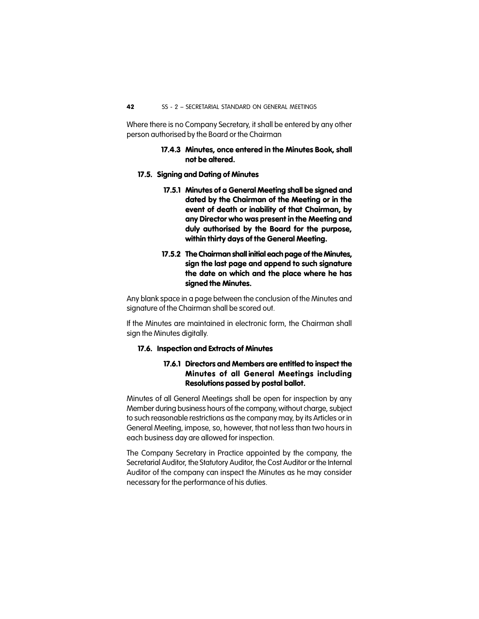Where there is no Company Secretary, it shall be entered by any other person authorised by the Board or the Chairman

#### **17.4.3 Minutes, once entered in the Minutes Book, shall not be altered.**

#### **17.5. Signing and Dating of Minutes**

- **17.5.1 Minutes of a General Meeting shall be signed and dated by the Chairman of the Meeting or in the event of death or inability of that Chairman, by any Director who was present in the Meeting and duly authorised by the Board for the purpose, within thirty days of the General Meeting.**
- **17.5.2 The Chairman shall initial each page of the Minutes, sign the last page and append to such signature the date on which and the place where he has signed the Minutes.**

Any blank space in a page between the conclusion of the Minutes and signature of the Chairman shall be scored out.

If the Minutes are maintained in electronic form, the Chairman shall sign the Minutes digitally.

#### **17.6. Inspection and Extracts of Minutes**

#### **17.6.1 Directors and Members are entitled to inspect the Minutes of all General Meetings including Resolutions passed by postal ballot.**

Minutes of all General Meetings shall be open for inspection by any Member during business hours of the company, without charge, subject to such reasonable restrictions as the company may, by its Articles or in General Meeting, impose, so, however, that not less than two hours in each business day are allowed for inspection.

The Company Secretary in Practice appointed by the company, the Secretarial Auditor, the Statutory Auditor, the Cost Auditor or the Internal Auditor of the company can inspect the Minutes as he may consider necessary for the performance of his duties.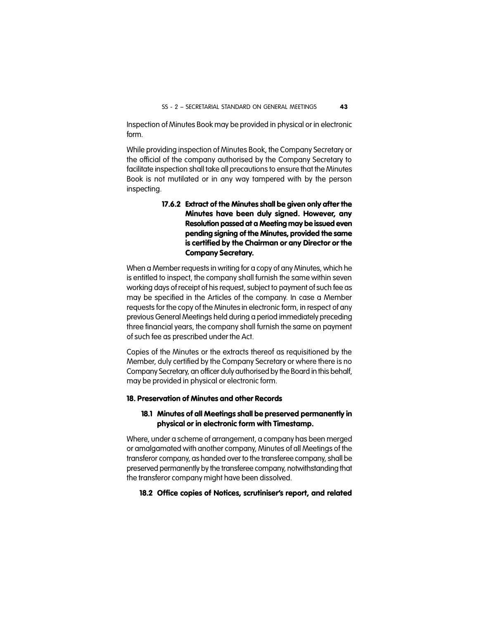Inspection of Minutes Book may be provided in physical or in electronic form.

While providing inspection of Minutes Book, the Company Secretary or the official of the company authorised by the Company Secretary to facilitate inspection shall take all precautions to ensure that the Minutes Book is not mutilated or in any way tampered with by the person inspecting.

> **17.6.2 Extract of the Minutes shall be given only after the Minutes have been duly signed. However, any Resolution passed at a Meeting may be issued even pending signing of the Minutes, provided the same is certified by the Chairman or any Director or the Company Secretary.**

When a Member requests in writing for a copy of any Minutes, which he is entitled to inspect, the company shall furnish the same within seven working days of receipt of his request, subject to payment of such fee as may be specified in the Articles of the company. In case a Member requests for the copy of the Minutes in electronic form, in respect of any previous General Meetings held during a period immediately preceding three financial years, the company shall furnish the same on payment of such fee as prescribed under the Act.

Copies of the Minutes or the extracts thereof as requisitioned by the Member, duly certified by the Company Secretary or where there is no Company Secretary, an officer duly authorised by the Board in this behalf, may be provided in physical or electronic form.

#### **18. Preservation of Minutes and other Records**

#### **18.1 Minutes of all Meetings shall be preserved permanently in physical or in electronic form with Timestamp.**

Where, under a scheme of arrangement, a company has been merged or amalgamated with another company, Minutes of all Meetings of the transferor company, as handed over to the transferee company, shall be preserved permanently by the transferee company, notwithstanding that the transferor company might have been dissolved.

#### **18.2 Office copies of Notices, scrutiniser's report, and related**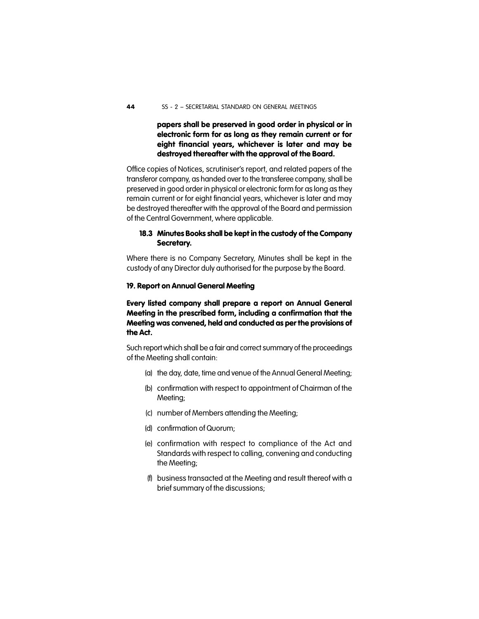**papers shall be preserved in good order in physical or in electronic form for as long as they remain current or for eight financial years, whichever is later and may be destroyed thereafter with the approval of the Board.**

Office copies of Notices, scrutiniser's report, and related papers of the transferor company, as handed over to the transferee company, shall be preserved in good order in physical or electronic form for as long as they remain current or for eight financial years, whichever is later and may be destroyed thereafter with the approval of the Board and permission of the Central Government, where applicable.

#### **18.3 Minutes Books shall be kept in the custody of the Company Secretary.**

Where there is no Company Secretary, Minutes shall be kept in the custody of any Director duly authorised for the purpose by the Board.

#### **19. Report on Annual General Meeting**

**Every listed company shall prepare a report on Annual General Meeting in the prescribed form, including a confirmation that the Meeting was convened, held and conducted as per the provisions of the Act.**

Such report which shall be a fair and correct summary of the proceedings of the Meeting shall contain:

- (a) the day, date, time and venue of the Annual General Meeting;
- (b) confirmation with respect to appointment of Chairman of the Meeting;
- (c) number of Members attending the Meeting;
- (d) confirmation of Quorum;
- (e) confirmation with respect to compliance of the Act and Standards with respect to calling, convening and conducting the Meeting;
- (f) business transacted at the Meeting and result thereof with a brief summary of the discussions;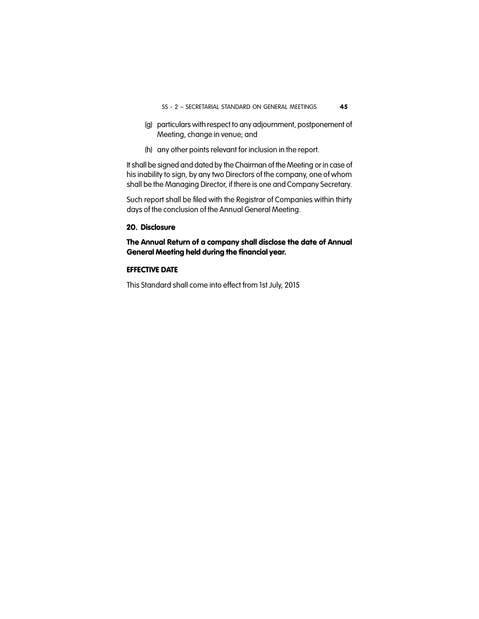- (g) particulars with respect to any adjournment, postponement of Meeting, change in venue; and
- (h) any other points relevant for inclusion in the report.

It shall be signed and dated by the Chairman of the Meeting or in case of his inability to sign, by any two Directors of the company, one of whom shall be the Managing Director, if there is one and Company Secretary.

Such report shall be filed with the Registrar of Companies within thirty days of the conclusion of the Annual General Meeting.

#### **20. Disclosure**

**The Annual Return of a company shall disclose the date of Annual General Meeting held during the financial year.**

#### **EFFECTIVE DATE**

This Standard shall come into effect from 1st July, 2015